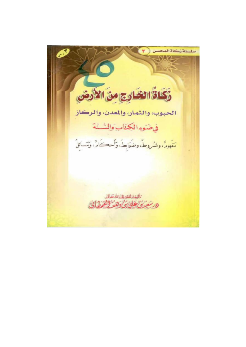سلسلة زكاة المحسن Cast ذكاة الغادج من الأدض الحبوب، والثمار، والمعدن، والركاز فيضوء الكناب والشنة مَعْهُومٌ، وشُرُوطٌ، وضَوَابِطُ، وَأَحڪَامٌ، وَمَسَائِلُ - أليف لفتير لمضا الله تعالى وكالن دهد لأنفرها في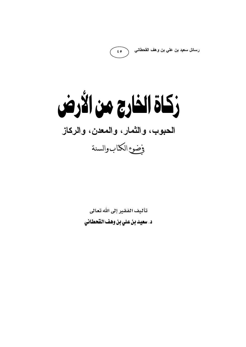رسائل سعيد بن علي بن وهف القحطاني

زكاة الفارج من الأرض الحبوب، والثمار، والمعدن، والركاز وضوء الكتاب والسنة

 $\epsilon$   $\circ$ 

تأليف الفقير إلى الله تعالى د. سعيد بن علي بن وهف القحطاني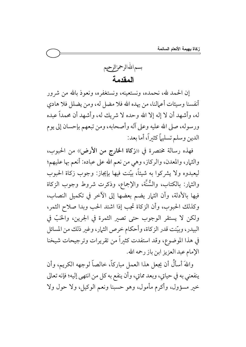

إن الحمد لله، نحمده، ونستعينه، ونستغفره، ونعوذ بالله من شرور أنفسنا وسيئات أعمالنا، من يهده الله فلا مضل له، ومن يضلل فلا هادي له، وأشهد أن لا إله إلا الله وحده لا شريك له، وأشهد أن محمداً عبده ورسوله، صلى الله عليه وعلى آله وأصحابه، ومن تبعهم بإحسان إلى يوم الدين وسلم تسليهاً كثبراً، أما بعد:

فهذه رسالة مختصرة في «زكاة الخارج من الأرض)، من الحبوب، والثمار، والمعدن، والركاز، وهي من نعم الله على عباده: أنعم بها عليهم؛ ليعبدوه ولا يشركوا به شيئاً، بيّنت فيها بإيجاز: وجوب زكاة الحبوب والثمار: بالكتاب، والسُّنَّة، والإجماع، وذكرت شروط وجوب الزكاة فيها بالأدلة، وأن الثمار يضم بعضها إلى الآخر في تكميل النصاب، وكذلك الحبوب، وأن الزكاة تجب إذا اشتد الحب وبدا صلاح الثمر، ولكن لا يستقر الوجوب حتى تصير الثمرة في الجرين، والحَبّ في البيدر، وبيّنت قدر الزكاة، وأحكام خرص الثمار، وغير ذلك من المسائل في هذا الموضوع، وقد استفدت كثيراً من تقريرات وترجيحات شيخنا الإمام عبد العزيز ابن باز رحمه الله.

واللهَ أسأَلُ أن يجعل هذا العمل مباركاً، خالصاً لوجهه الكريم، وأن ينفعني به في حياتي، وبعد مماتي، وأن ينفع به كل من انتهى إليه؛ فإنه تعالى خير مسؤول، وأكرم مأمول، وهو حسبنا ونعم الوكيل، ولا حول ولا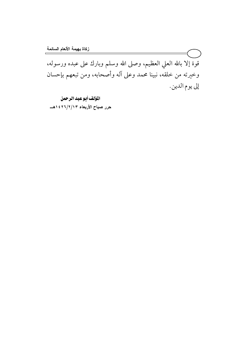قوة إلا بالله العلي العظيم، وصلى الله وسلم وبارك على عبده ورسوله، وخيرته من خلقه، نبينا محمد وعلى آله وأصحابه، ومن تبعهم بإحسان إلى يوم الدين.

المؤلف أبوعبد الرحمن

حرر صباح الأربعاء ١٤٢٦/٢/٢٣ هــ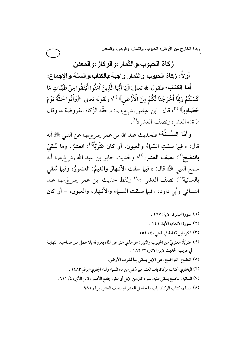## زكاة الحبوب،والثمار ،والركاز ،والمعدن

أو لاً: زكاة الحبوب والثمار واجبة:بالكتاب،والسنة،والإجماع:

أ**ما الكتاب؛** فلقول الله تعالى:﴿يَا أَيُّهَا الَّذِينَ آَمَنُوا أَنْفِقُوا مِنْ طَيِّبَاتِ مَا<br>. كَسَبْتُمْ وَمِمَّا أَخْرَجْنَا لَكُمْ مِنَ الْأَرْضِ﴾ (''؛ ولقوله تعالى: ﴿وَأَتُوا حَقَّهُ يَوْمَ حَصَادِهِ﴾ <sup>(٢)</sup>، قال ابن عباس رض<sub>ت</sub>اللهُ عنهما: «حقّه الزّكاة المفروضة»، وقال مرّة: «العشر، ونصف العشر»<sup>(٣)</sup>.

و**أمَّا السُّــذَّة؛** فلحديث عبد الله بن عمر رض<sub>ي</sub>الله عنها عن النبي ﷺ أنه قال: « فيها سقتِ السّماءُ والعيون، أو كان عَثَريّاً<sup>(؛)</sup>: العشرُ، وما سُقيَ  $\overline{\phantom{a}}$ **بالنضح**<sup>(٥)</sup>: نصف العشر»<sup>(٦)</sup>؛ ولحديث جابر بن عبد الله <sub>رضمِالله عنها أنه</sub> سمع النبي ﷺ قال: « فيها سقت الأنـهارُ والغيمُ: العشورُ، وفيها سُقي بالسانية''): نصف العشر »'' ولفظ حديث ابن عمر رض<sub>ي</sub>الله عنها عند النسائي وأبي داود: « فيها سـقت السـماء والأنـهار، والعيون، − أو كان

- (١) سورة البقرة، الآية: ٢٦٧ .
- (٢) سورة الأنعام، الآية: ١٤١.
- (٣) ذكره ابن قدامة في المغنى، ٤ / ١٥٤ .

ــــــــــــــــــــــــــــــــــــــــــــــــــــــــــــــــــــــــــــ

- (٤) عثريّاً: العثريّ من الحبوب والثمار: هو الذي عثر على الماء بعروقه بلا عمل مـن صـاحبه، النهايـة  $\ddot{\phantom{0}}$ في غريب الحديث لابن الأثير، ٣/ ١٨٢ .
	- (٥) النضح: النواضح: هي الإبل يسقى بها لشرب الأرض. ٦٪) البخاري، كتاب الزكاة، باب العشر فيها سُقي من ماء السهاء والماء الجاري؛ برقم ١٤٨٣ . (٧) السانية: الناضح يسقى عليه: سواء كان من الإبل أو البقر . جامع الأصول لابن الأثير، ٤/ ٢١١. . (٨) مسلم، كتاب الزكاة، باب ما جاء في العشر أو نصف العشر ، برقم ٩٨١ .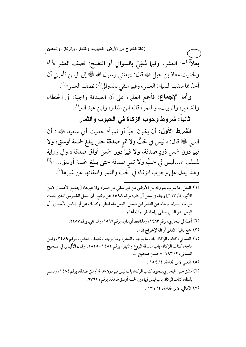بعلاً<sup>(')</sup>-: العشر، وفيها سُقِيَ بالسواني أو النضح: نصف العشر »<sup>(٢)</sup>؛ ولحديث معاذ بن جبل ﷺ قال: «بعثني رسول الله ﷺ إلى اليمن فأمرني أن آخذ مما سقتِ السماء: العشر، وفيها سقى بالدوالي<sup>(٣)</sup>: نصف العشر »<sup>(٤)</sup>.

**وأما الإجماع:** فأجمع العلماء على أن الصدقة واجبة: في الحنطة، والشعير، والزبيب، والتمر، قاله ابن المنذر، وابن عبد البر<sup>(٥</sup>).

ثانياً: شروط وجوب الزكاة في الحبوب والثمار

الشَّعْرِطْ الأُول: أن يكون حبّاً أو ثمراً؛ لحديث أبي سعيد ﷺ : أن النبي ﷺ قال: «ليس في حَبٍّ ولا تمر صدقة حتى يبلغ خمسة أوسق، ولا فيها دون خمس ذودٍ صدقة، ولا فيها دون خمس أواق صدقة » وفي رواية لمسلم: «…ليس في حبٍّ ولا ثمرِ صدقة حتى يبلغ خمسة أوسق… »<sup>(1)</sup> وهذا يدل على وجوب الزكاة في الحب والثمر وانتفائها عن غيرها'".

- (١) البعل: ما شرب بعروقه من الأرض من غير سقى من السباء ولا غيرها، [جـامع الأصـول لابـن الأثير، ٤/ ٦١٣] وجاء في سنن أبي داود برقم ١٥٩٨ عن وكيع: أن البعل الكبوس الـذي ينبت من ماء السماء. وجاء عن النضر ابن شميل: البعل ماء المطر. وكذلك عن أبي إياس الأسدي: أن البعل: هو الذي يسقى بهاء المطر. والله أعلم.
	- (٢) أصله في البخاري، برقم ١٤٨٣، وهذا لفظ أبي داود، برقم ١٥٩٦، والنسائي، برقم ٢٤٨٧.
		- (٣) جمع دالية: الدلو أو آلة لإخراج الماء.
- (٤) النسائي، كتاب الزكاة، باب ما يوجب العشر، وما يوجب نصف العشر.، برقم ٢٤٨٩، وابن ماجه، كتاب الزكاة، باب صدقة الزرع والثهار، برقم ١٤٨٤-١٨٤٥، وقـال الألبـاني في صـحيح النسائي، ٢/ ١٩٣: «حسن صحيح ».
	- (٥) المغنى لابن قدامة، ٤/ ١٥٤.
- (٦) متفق عليه: البخاري بنحوه، كتاب الزكاة، باب ليس فيها دون خمسة أوسق صدقة، برقم ١٤٨٤، ومسلم بلفظه، كتاب الزكاة، باب ليس فيها دون خمسة أوسق صدقة، برقم ١ (٩٧٩.
	- (٧) الكافي، لابن قدامة، ١٣١/٢.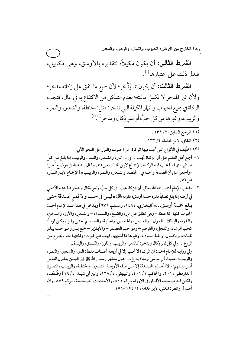**الشرط الثاني:** أن يكون مكيلاً؛ لتقديره بالأوسق، وهي مكاييل، فيدل ذلك على اعتبارها<sup>(١)</sup>.

**الشرط الثالث:** أن يكون مما يُدّخر؛ لأن جميع ما اتفق على زكاته مدخر؛ ولان غير المدخر لا تكمل ماليته؛ لعدم التمكن من الانتفاع به في المال، فتجب الزكاة في جميع الحبوب والثمار المكيلة التي تدخر : مثل: الحنطة، والشعير، والتمر، والزبيب، وغيرها من كل حبٍّ أو ثمرٍ يكال ويدخر<sup>(٣)</sup>. ("  $\overline{\phantom{a}}$ 

- (۱) المرجع السابق، ۲/ ۱۳۱ .
- (٢) الكافي، لابن قدامة، ٢/ ١٣٢ .
- (٣) اختُلِفَ في الأنواع التي تجب فيها الزكاة: من الحبوب والثمار على النحو الآتي:
- ١ أجمع أهل العلـم عـلى أن الزكـاة تجـب... في ... الـبر، والشـعير، والتمـر، والزبيـب إذا بلـغ مـن كـلّ صنفٍ منهـا مـا تجـب فيـه الزكـاة [الإجمـاع لابـن المنـذر، ص١٥] وقـال رحمـه الله في موضـع آخـر : «وأجمعوا على أن الصدقة واجبـة في: الحنطـة، والشـعير، والتمـر، والزبيـب» [الإجماع لابـن المنـذر، ص۲۰ ].
- ٢ مذهب الإمام أحمد رحمه الله تعالى: أن الزكاة تجب: في كل حبٍّ وثمرٍ يكال ويدخر مما ينبتـه الآدمـي في أرضه إذا بلغ نصاباً قدره خمسة أوسق؛ لقوله ﷺ: «ليس في حـب ولا ثمـر صـدقة حتـى يبلغ خمسة أوسق...»[البخاري، ١٤٨٤، ومسلم، ١٩٧٩] ويدخل في هذا عند الإمام أحمد: الحبوب كلها: كالحنطة -وهي تطلق على البر، والقمح، والسمراء –والشعير، والأرز، والدخن، والـذرة، والبـاقلا –الفـول – والعـدس، والحمـص، والحلبـة، والسمسـم، حتـى ولـو لم يكـن قوتـاً: كحب الرشاد، والفجل، والقرطم –وهو حب العصفر –والأبازير –جمع بذر وهو حب يبذر للنبات، والكمون، والحبة السوداء، وغيرها مما أشبهها، فهذه غير قوت؛ ولكنها حب يخرج من الزرع... وفي كل ثمر يكال ويدخر: كالتمر، والزبيب، واللوز، والفستق، والبندق. وفي روايـة للإمـام أحمـد: أن الزكـاة لا تجب إلا في أربعـة أصـناف فقـط: الـبر، والشـعير، والتمـر، والزبيب؛ لحديث أبي موسى ومعاذ رضرِللهجها حين بعثهما رسـول الله ﷺ إلى الـيمن يعلـمان النـاس أمر دينهم: «لا تأخـذوا الصـدقة إلا مـن هـذه الأربعـة: الشـعير، والحنطـة، والزبيـب والتمـر» [الدارقطني، ٢٠١، والحاكم، ١ / ٤٠١، والبيهقي، ٤ / ١٢٨، وابن أبي شيبة، ٤ / ١٩] وضُعِّف، ولكـن قـد صـححه الألبـاني في الإرواء بـرقم ٨٠١، والأحاديـث الصـحيحة، بـرقم ٨٧٩، والله أعلم]. وانظر: المغني، لابن قدامة، ٤/ ١٥٤-١٥٦.

=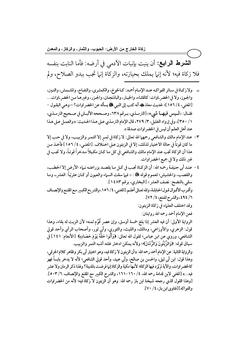**الشَّدِطْ الرَّابِع:** أن ينبت بإنبات الأدمي في أرضه: فأما النابت بنفسه فلا زكاة فيه؛ لأنه إنها يملك بحيازته، والزكاة إنها تجب ببدو الصلاح، ولم ــــــــــــــــــــــــــــــــــــــــــــــــــــــــــــــــــــــــــــ

- = ولا زكـاة في سـائر الفواكـه عنـد الإمـام أحمـد: كـالخوخ، والكمثـري، والتفـاح، والمشـمش، والتـين، والجـوز، ولا في الخضر اوات: كالقثـاء، والخيـار، والباذنجـان، والجـزر، وغيرهـا مـن الخضر اوات... [المغني، ٤/ ١٥٦]؛ لحديث معاذ ﷺ، أنه كتب إلى النبي ﷺ يسأله عن الخضر اوات؟ —وهي البقـول – فقـال: «لمـيس فيهـا شييء» [الترمـذي، بـرقم ٦٣٨، وصـححه الألبـاني في صـحيح الترمـذي، ٢ / ٣٥٠]، وفي إرواء الغليل، ٣/ ٢٧٩، قال الإمام الترمذي على هذا الحديث: «والعمل على هذا عند أهل العلم أن ليس في الخضر اوات صدقة ».
- ٣- عند الإمام مالك والشافعي رحمهم الله تعالى: لا زكاة في ثمـرِ إلا التمـر والزبيـب، ولا في حـب إلا ما كان قوتاً في حالة الاختيار لذلك، إلا في الزيتون عـلى اخـتلاف. [المغنـى، ٤/ ١٥٦] فأخـذ مـن هذا أن الزكاة تجب عند الإمام مالك والشافعي في كل ما كـان مكـيلاً مـدخراً قوتـاً، ولا تجب في غير ذلك ولا في جميع الخضراوات.
- ٤ − عنـد أبي حنيفـة رحمـه الله: أن الزكـاة تجـب في كـل مـا يقصـد بزراعتـه نـاء الأرض إلا الحطـب، والقصب، والحشيش؛ لعموم قوله ﷺ : ‹‹ فيما سقت السماء والعيون أو كـان عثريّـاً: العشر ـ، ومـا سقى بالنضح: نصف العشر» [البخاري، برقم ١٤٨٣]. وأقرب الأقـوال قـول الحنابلـة، والله تعـالى أعلـم. [المغنـى، ٤/ ١٥٦، والشر ح الكبـير مـع المقنـع والإنصـاف ٣/ ٤٩٤، والشرح الممتع، ٤/ ٧٢]. وقد اختلف العلماء في زكاة الزيتون: فعن الإمام أحمد رحمه الله روايتان: الرواية الأولى: أن فيه العشر إذا بلغ خمسة أوسق، وإن عصر قُوِّم ثمنه؛ لأن الزيت له بقاء، وهذا قول: الزهري، والأوزاعي، ومالك، والليث، والثوري، وأبي ثور، وأصحاب الرأي وأحد قولي الشافعي، وروي عن ابن عباس؛ لقول الله تعالى: ﴿وَآَثُّوا حَقَّهُ يَوْمَ حَصَادِهِ﴾ [الأنعام: ١٤١] في سياق قوله: ﴿وَالزَّيْتُونَ وَالزَّمَّانَ﴾؛ ولأنه يمكن ادخار غلته أشبه التمر والزبيب. والرواية الثانية: عن الإمام أحمد رحمه الله: « أن الزيتون لا زكاة فيه، وهو اختيار أبي بكر وظاهر كلام الخرقي، وهذا قول: ابن أبي ليلي، والحسن بن صالح، وأبي عبيد، وأحد قولي الشافعي؛ لأنه لا يدخر يابساً فهو كالخضر اوات، والآية لم يُرَد فيها الزكاة؛ لأنها مكية والزكاة إنها فرضت بالمدينة؟ ولهذا ذكر الرمان ولا عشر فيه…» [المغنى لابن قدامة رحمه الله، ٤/ ١٦٠–١٦١، والشرح الكبير مع المقنع والإنصاف، ٦/ ٥٠٣].

[وهذا القول الذي رجحه شيخنا ابن باز رحمه الله: وهو أن الزيتون لا زكاة فيه؛ لأنه من الخضراوات

والفواكه][فتاوى ابن باز، ٤/ ٧٠].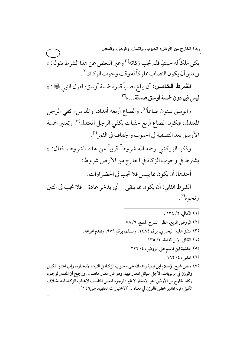يكن ملكاً له حينئذٍ فلم تجب زكاته<sup>(١)</sup> وعبّر البعض عن هذا الشرط بقوله: « ويعتبر أن يكون النصاب مملوكاً له وقت وجوب الزكاة»<sup>(٢)</sup>.

الشرط الخامس: أن يبلغ نصاباً قدره خمسة أوسق؛ لقول النبي ﷺ : « ليس فيها دون خمسة أوسق صدقة…»<sup>(٣)</sup>.

والوسق ستون صاعاً<sup>(؛)</sup>، والصاع أربعة أمداد، والمد ملء كفي الرجل المعتدل، فيكون الصاع أربع حفنات بكفي الرجل المعتدل<sup>(٥)</sup>. وتعتبر خمسة الأوسق بعد التصفية في الحبوب والجفاف في الثمر<sup>(٦)</sup>.

وذكر الزركشي رحمه الله شروطاً قريباً من هذه الشروط، فقال: « يشترط في وجوب الزكاة في الخارج من الأرض شروط:

أحدها: أن يكون مما ييبس فلا تجب في الخضر اوات.

الشرط الثاني: أن يكون مما يبقى – أي يدخر عادة – فلا تجب في التين ونحوه''.

- (١) الكافي، ٢/ ١٣٤. (٢) الروض المربع، انظر: الشرح الممتع، ٧٨/٦ . (٣) متفق عليه: البخاري، برقم ١٤٨٤، ومسلم، برقم ٩٧٩، وتقدم تخريجه. (٤) الكافي، لابن قدامة، ٢/ ١٣٥ . (٥) حاشية ابن قاسم على الروض، ٤/ ٢٢٢ . (٦) المغنى، ٤/ ١٦٢ .
- (٧) ونص شيخ الإسلام ابن تيمية رحمه الله على وجوب الزكاة في التين؛ لادخـاره، وإنـما اعتـبر الكيـل والوزن في الربويات، لأجل التباثل المعتبر فيها، وهو غير معتبر هاهنـا... ورجـح أن المعتبر لوجـود زكاة الخارج من الأرض: هو الادخار لا غير؛ لوجود المعنى المناسب لإيجاب الزكاة فيه بخلاف الكيل، فإنه تقدير محض فالوزن في معناه... [الاختيارات الفقهية، ص١٤٩].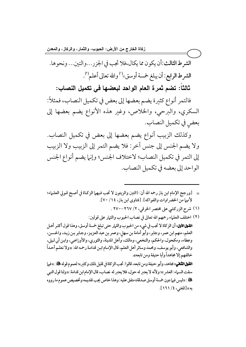زكاة الخارج من الأرض: الحبوب، والثمار، والركاز، والمعدن الشرط الثالث:أن يكون مما يكال،فلا تجب في الجزر...والتين... ونحوها. الشرط الرابع: أن يبلغ خمسة أوسق»<sup>(י)</sup> والله تعالى أعلم<sup>(٢)</sup>.

ثالثاً: تضم ثمرة العام الواحد لبعضها في تكميل النصاب:

فالتمر أنواع كثيرة يضم بعضها إلى بعض في تكميل النصاب، فمثلاً: السكري، والبرحي، والخلاص، وغير هذه الأنواع يضم بعضها إلى بعض في تكميل النصاب.

وكذلك الزبيب أنواع يضم بعضها إلى بعض في تكميل النصاب. ولا يضم الجنس إلى جنس آخر: فلا يضم التمر إلى الزبيب ولا الزبيب إلى التمر في تكميل النصاب؛ لاختلاف الجنس؛ وإنها يضم أنواع الجنس الواحد إلى بعضه في تكميل النصاب.

- = [ورجح الإمام ابن باز رحمه الله أن: (التين والزيتون لا تجب فيهها الزكـاة في أصـح قـولي العلـماء؛ لأنهما من الخضر اوات والفواكه]. [فتاوى ابن باز، ١٤/ ٧٠].
	- (١) شرح الزركشي على مختصر الخرقي، ٢/ ٢٦٧-٢٧٠ .

(٢) اختلف العلماء رحمهم الله تعالى في نصاب الحبوب والثمار على قولين: القول الأول: أن الزكاة لا تجب في شيء من الحبوب والثيار حتى تبلغ خمسة أوسق، وهذا قول أكثـر أهـل العلم، منهم ابن عمر، وجابر، وأبو أمامة بن سهل، وعمر بن عبد العزيز، وجابر بن زيد، والحسـن، وعطاء، ومكحول، والحكم، والنخعي، ومالك، وأهل المدينة، والثوري، والأوزاعي، وابن أبي ليلي، والشافعي، وأبو يوسف، وحُمد وسائر أهل العلم، قال الإمام ابـن قدامـة رحمه الله: «ولا نعلـم أحـداً خالفهم إلا مجاهداً وأبا حنيفة ومن تابعه».

القول الثاني: مجاهد، وأبو حنيفة ومن تابعه، قالوا: تجب الزكاة في قليل ذلك وكثيره؛ لعموم قوله ﷺ : «فيها سقت السباء: العشر »؛ ولأنه لا يعتبر له حول، فلا يعتبر له نصاب، قال الإمام ابن قدامة: «ولنا قول النبي ، «ليس فيها دون خمسة أوسق صدقة» متفق عليه: وهذا خاص يجب تقديمه وتخصيص عموم ما رووه به»[المغنى، ٤/ ١٦١].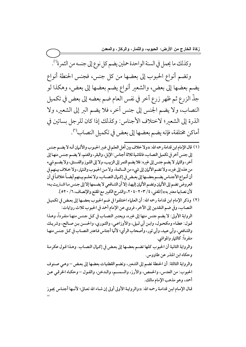وكذلك ما يحمل في السنة الواحدة حملين يضم كل نوع إلى جنسه من الثمرة'').

وتضم أنواع الحبوب إلى بعضها من كل جنس، فجنس الحنطة أنواع يضم بعضها إلى بعض، والشعير أنواع يضم بعضها إلى بعض، وهكذا لو جذ الزرع ثم ظهر زرع آخر في نفس العام ضم بعضه إلى بعض في تكميل النصاب، ولا يضم الجنس إلى جنس آخر، فلا يضم البر إلى الشعير، ولا الذرة إلى الشعير؛ لاختلاف الأجناس: وكذلك إذا كان للرجل بساتين في أماكن مختلفة، فإنه يضم بعضها إلى بعض في تكميل النصاب<sup>(٢)</sup>. ــــــــــــــــــــــــــــــــــــــــــــــــــــــــــــــــــــــــــــ

- (١) قال الإمام ابن قدامة رحمه الله: «ولا خلاف بين أهل العلم في غير الحبوب والأثـمان أنـه لا يضـم جـنس إلى جنس آخر في تكميل النصاب، فالماشية ثلاثة أجناس: الإبل، والبقر، والغنم، لا يضمم جنس منها إلى آخر، والثمار لا يضم جنس إلى غيره: فلا يضم التمر إلى الزبيب، ولا إلى اللوز والفستق، ولا يضم شيء من هذه إلى غيره، ولا تضم الأثيان إلى شيء من السائمة، ولا مـن الحبوب والـثيار، ولا خـلاف بيـنهم في أن أنـواع الأجنـاس يضــم بعضــها إلى بعـض في إكـمال النصــاب، ولا نعلــم بيـنهم أيضــاً خلافـاً في أن العروض تضم إلى الأثَّمان وتضم الأثَّمان إليها، إلا أن الشَّافعي لا يضمها إلا إلى جنس ما اشتريت بـه؛ لأن نصابها معتبر به» [المغنى، ٢٠٣ × -٢٠٤. والشرح الكبير مع المقنع والإنصاف، ٦/ ٢٥٢].
- (٢) وذكر الإمام ابن قدامة رحمه الله: أن العلماء اختلفوا في ضم الحبوب بعضـها إلى بعـض في تكميـل النصاب، وفي ضم النقدين إلى الآخر، فروي عن الإمام أحمد في الحبوب ثلاث روايات: الرواية الأولى: لا يضم جنس منها إلى غيره، ويعتبر النصاب في كل جنس منها منفرداً، وهذا قول: عطاء ومكحول، وابن أبي ليلي، والأوزاعي، والثوري، والحسن بن صالح، وشريك والشافعي، وأبي عبيد، وأبي ثور، وأصحاب الرأي؛ لأنّها أجناس فاعتبر النصاب في كل جنس منها منفرداً: كالثمار والمواشى. والرواية الثانية أن الحبوب كلها تضم بعضها إلى بعض في إكمال النصاب. وهذا قول عكرمة وحكاه ابن المنذر عن طاووس. والرواية الثالثة: أن الحنطة تضم إلى الشعير، وتضم القطنيات بعضها إلى بعض – وهي صنوف الحبوب: من العدس، والحمص، والأرز، والسمسم، والدخن، والفول – وحكاه الخرقي عن أحمد، وهو مذهب الإمام مالك. قـال الإمـام ابـن قدامـة رحمـه الله: «والروايـة الأولى أولى إن شـاء الله تعـالى؛ لأنــها أجنـاس يجـوز

=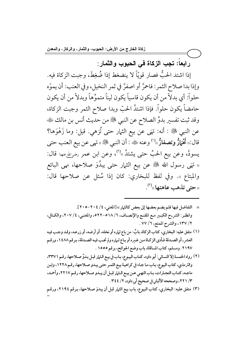رابعاً: تجب الزكاة في الحبوب والثمار :

إذا اشتد الحبُّ فصار قويّاً لا ينضغط إذا ضُغِطَ، وجبت الزكاة فيه. وإذا بدا صلاح الثمر: فاحمَّر أو اصفرَّ في ثمر النخيل، وفي العنب: أن يموِّه حلواً: أي بدلاً من أن يكون قاسياً يكون ليناً متموِّهاً وبدلاً من أن يكون حامضاً يكون حلواً. فإذا اشتدَّ الحبّ وبدا صلاح الثمر وجبت الزكاة، وقد ثبت تفسير بدوٍّ الصلاح عن النبي ﷺ من حديث أنس بن مالك ﷺ عن النبي ﷺ : أنه: نَهَى عن بيع الثيار حتى تُزهى. قيل: وما زَهْوَها؟ قال:«تَحْمَارٌ وتصفارٌ»'' وعنه ﷺ: أن النبي ﷺ «نَهي عن بيع العنب حتى يسودَّ، وعن بيع الحبِّ حتى يشتدَّ »<sup>(٢)</sup>، وعن ابن عمر رض<sub>ح</sub>ِلله عنها قال: « نَهَى رسول الله ﷺ عن بيع الثيار حتى يبدُوَ صلاحها، نهى البائع والمبتاع ». وفي لفظ للبخاري: كان إذا سُئل عن صلاحها قال:  $\left( \mathbf{r}^{\left( \tau\right) }\right)$ ر متى تذهب عاهتها  $\left( \mathbf{r}^{\left( \tau\right) }\right)$ 

- = التفاضل فيها فلم يضم بعضها إلى بعض كالثمار » [المغنى، ٤ / ٢٠٤-٢٠٥]. وانظر: الشر-ح الكبير مـع المقنـع والإنصـاف، ٦/ ٥١٨ ه-٢٢٢ه، والمغنـى، ٤/ ٢٠٧، والكـافي، ٢/ ١٣٧، والشرح الممتع، ٦/ ٧٧ .
- (١) متفق عليه: البخاري، كتاب الزكاة، بابٌ: من باع ثماره أو نخله، أو أرضه، أو زرعـه، وقـد وجـب فيـه العشر- أو الصـدقة فـأدى الزكـاة مـن غـيره أو بـاع ثـماره ولم تجـب فيـه الصـدقة، بـرقم ١٤٨٨، ورقـم ٢١٩٧. ومسلم، كتاب المساقاة، باب وضع الجوائح، برقم ١٥٥٥ .
- (٢) رواه الخمسة إلا النسائي: أبو داود، كتاب البيوع، باب في بيع الثمار قبل بدوٍّ صلاحها، رقم ٣٣٧١، والترمذي، كتاب البيوع، بـاب مـا جـاء في كراهيـة بيـع الثمـر حتـى يبـدو صـلاحها، رقـم ١٢٢٨، وابـن ماجه، كتـاب التجـارات، بـاب النهـى عـن بيـع الـثـار قبـل أن يبـدو صـلاحها، رقـم ٢٢١٧، وأحمـد، ٣/ ٢٢١، وصححه الألباني في صحيح أبي داود، ٢/ ٣٤٤.
- (٣) متفق عليه: البخاري، كتاب البيوع، باب بيع الثمار قبل أن يبدوَ صـلاحها، بـرقم ٢١٩٤، ورقـم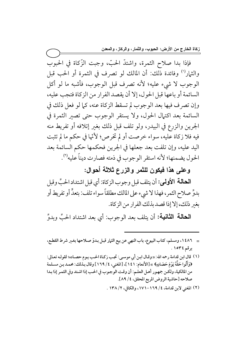فإذا بدا صلاح الثمرة، واشتدَّ الحبّ، وجبت الزَّكاة في الحبوب والثمار<sup>(י)</sup> وفائدة ذلك: أن المالك لو تصرف في الثمرة أو الحب قبل الوجوب لا شيء عليه؛ لأنه تصرف قبل الوجوب، فأشبه ما لو أكل السائمة أو باعها قبل الحول، إلا أن يقصد الفرار من الزكاة فتجب عليه، وإن تصرف فيها بعد الوجوب لم تسقط الزكاة عنه، كما لو فعل ذلك في السائمة بعد اكتهال الحول، ولا يستقر الوجوب حتى تصير الثمرة في الجرين والزرع في البيدر، ولو تلف قبل ذلك بغير إتلافه أو تفريط منه فيه فلا زكاة عليه، سواء خرصت أو لم تخرص؛ لأنَّها في حكم ما لم تثبت اليد عليه، وإن تلفت بعد جعلها في الجرين فحكمها حكم السائمة بعد الحول يضمنها؛ لأنه استقر الوجوب في ذمته فصارت ديناً عليه'').

وعلى هذا فيكون للثمر والزرع ثلاثة أحوال:

الحالة الأولى: أن يتلف قبل وجوب الزكاة: أي قبل اشتداد الحبِّ وقبل بدوٍّ صلاح الثمر، فهذا لا شيء على المالك مطلقاً سواء تلف: بتعدٍّ أو تفريط أو بغير ذلك، إلا إذا قصد بذلك الفرار من الزكاة.

**الحالة الثانية:** أن يتلف بعد الوجوب: أي بعد اشتداد الحبِّ وبدوِّ

- = ١٤٨٦، ومسلم، كتاب البيوع، باب النهي عن بيع الثهار قبل بدوٍّ صـلاحها بغـير شرط القطـع، برقم ١٥٣٤.
- (١) قال ابن قدامة رحمه الله: «وقـال ابـن أبي موسـى: تجـب زكـاة الحـب يـوم حصـاده؛ لقولـه تعـالى: ﴿وَآَتُوا حَقَّهُ يَوْمَ حَصَادِهِ﴾ » [الأنعام: ١٤١]، [المغنى، ٤/ ١٦٩] وقال بـذلك: محمـد بـن مسـلمة من المالكية، ولكن جمهور أهل العلـم: أن وقت الوجوب في الحب إذا اشـتد وفي الثمـر إذا بـدا صلاحه [حاشية الروض المربع المحقق، ٤/ ٨٩].
	- (٢) المغنى لابن قدامة، ٤/ ١٦٩–١٧١، والكافي، ٢/ ١٣٨ .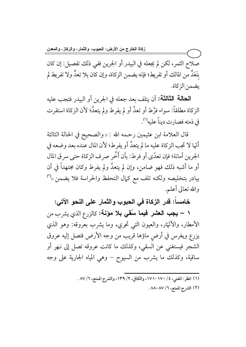صلاح الثمر، لكن لم يجعله في البيدر أو الجرين ففي ذلك تفصيل: إن كان بتَعَدٍّ من المالك أو تفريط؛ فإنه يضمن الزكاة، وإن كان بلا تعدٍّ ولا تفريط لم يضمن الزكاة.

الحالة الثالثة: أن يتلف بعد جعله في الجرين أو البيدر فتجب عليه الزكاة مطلقاً: سواء فرَّط أو تعدَّ أو لم يفرط ولم يتعدَّ؛ لأن الزكاة استقرت في ذمته فصارت ديناً عليه<sup>(١)</sup>.

قال العلامة ابن عثيمين رحمه الله : « والصحيح في الحالة الثالثة أنَّها لا تجب الزكاة عليه ما لم يتعدَّ أو يفرط؛ لأن المال عنده بعد وضعه في الجرين أمانة؛ فإن تعدّي أو فرط: بأن أَخَّر صرف الزكاة حتى سر ق المال أو ما أشبه ذلك فهو ضامن، وإن لم يتعدَّ ولم يفرط وكان مجتهداً في أن يبادر بتخليصه ولكنه تلف مع كمال التحفظ والحراسة فلا يضمن »<sup>(٢)</sup> والله تعالى أعلم.

خامساً: قدر الزكاة في الحبوب والثمار على النحو الآتي:

١ – يجب العشر فيما سُقى بلا مؤنـة: كالزرع الذي يشرب من الأمطار، والأنْهَار، والعيون التي تجري، وما يشرب بعروقه: وهو الذي يزرع ويغرس في أرضٍ ماؤها قريب من وجه الأرض فتصل إليه عروق الشجر فيستغني عن السقي، وكذلك ما كانت عروقه تصل إلى نـهر أو ساقية، وكذلك ما يشرب من السيوح – وهي المياه الجارية على وجه

- (١) انظر: المغنى، ٤/ ١٧٠-١٧١، والكافي، ٢/ ١٣٩، والشرح الممتع، ٦/ ٨٧ .
	- (٢) الشرح الممتع، ٦/ ٨٨-٨٨ .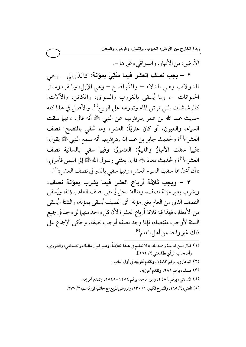الأرض: من الأنهار، والسواقي وغيرها -.

٢ – يجب نصف العشر فيما سُقِيَ بمؤنة: كالدّوالي – وهي الدولاب وهي الدلاء – والنَّواضح – وهي الإبل، والبقر، وسائر الحيوانات –، وما يُسقى بالغروب والسواني، والمكائن، والآلات: كالرشاشات التي ترش الماء وتوزعه على الزرع'''. والأصل في هذا كله حديث عبد الله بن عمر رضم الله عنها عن النبي ﷺ أنه قال: « فيها سقت السباء، والعيون، أو كان عثريّاً: العشر، وما سُقى بالنضح: نصف العشر»<sup>(٢)</sup>؛ ولحديث جابر بن عبد الله <sub>رضوِالله</sub>ءها أنه سمع النبي ﷺ يقول: «فيها سقت الأنهارُ والغيمُ: العشورُ، وفيها سقى بالسانية نصف العشر»<sup>(٣)</sup>؛ ولحديث معاذ ﷺ قال: بعثني رسول الله ﷺ إلى اليمن فأمرني: «أن آخذ مما سقتِ السماء العشر، وفيها سقى بالدوالي نصف العشر »<sup>(؛)</sup>.

٣ – ويجب ثلاثة أرباع العشر فيما يشرب بمؤنة نصف، ويشرب بغير مؤنة نصف، ومثاله: نخل يُسقى نصف العام بمؤنة، ويُسقى النصف الثاني من العام بغير مؤنة: أي الصيف يُسقى بمؤنة، والشتاء يُسقى من الأمطار، فهذا فيه ثلاثة أرباع العشر؛ لأن كل واحد منهما لو وجد في جميع السنة لأوجب مقتضاه، فإذا وجد نصفه أوجب نصفه، وحكى الإجماع على ذلك غير واحد من أهل العلم''.

(١) قـال ابـن قدامـة رحمـه الله: « لا نعلـم في هـذا خلافـاً، وهـو قـول مالـك والشـافعي، والثـوري، وأصحاب الرأي»[المغني. ٤/ ١٦٤]. (٢) البخاري، برقم ١٤٨٣، وتقدم تخريجه في أول الباب. (۳) مسلم، برقم ۹۸۱، وتقدم تخریجه. (٤) النسائي، برقم ٢٤٨٩، وابن ماجه، برقم ١٤٨٤-١٨٤٥، وتقدم تخريجه. (٥) المغنى، ٤/ ١٦٥، والشرح الكبير، ٦/ ٥٣٠، والروض المربع مع حاشية ابن قاسم، ٢/ ٢٧٧.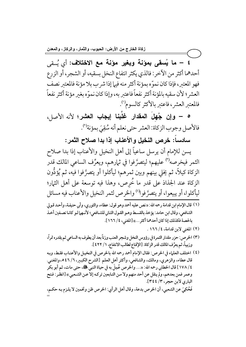٤ – ما يُسقى بمؤنة وبغير مؤنة مع الاختلاف: أي يُسقى أحدهما أكثر من الآخر: فالذي يكثر انتفاع النخل بسقيه، أو الشجر، أو الزرع فهو المعتبر، فإذا كان نموِّه بمؤنة أكثر منه فيها إذا شرب بلا مؤنة فالمعتبر نصف العشر ؛ لأن سقيه بالمؤنة أكثر نفعاً فاعتبر به، وإذا كان نموّه بغير مؤنة أكثر نفعاً فالمعتبر العشر، فاعتبر بالأكثر كالسوم''.

ه – وإن جُهلُ المقدار غلبنا إيجاب العشر؛ لأنه الأصل، فالأصل وجوب الزكاة: العشر حتى نعلم أنه سُقِيَ بمؤنة'".

سادساً: خرص النخيل والأعناب إذا بدا صلاح الثمر :

يسن للإمام أن يرسل ساعياً إلى أهل النخيل والأعناب إذا بدا صلاح الثمر فيخرصه<sup>(٣)</sup> عليهم؛ ليتصرَّفوا في ثمارهم، ويعرِّف الساعي المالك قدر الزكاة كيلاً، ثم يخلي بينهم وبين ثمرهم؛ ليأكلوا أو يتصرَّفوا فيه، ثم يُؤدُّون الزكاة عند الجذاذ على قدر ما خُرص، وهذا فيه توسعة على أهل الثمار؛ ليأكلوا، أو يبيعوا، أو يتصرَّ فوا<sup>(؛</sup> والخرص لثمر النخيل والأعناب فيه مسائل

- (١) قال الإمام ابن قدامة رحمه الله: «نص عليه أحمد وهو قول: عطاء، والثوري، وأبي حنيفـة، وأحـد قـولي الشافعي، وقال ابن حامد: يؤخذ بالقسط وهو القول الثاني للشـافعي؛ لأنـهما لـو كانـا نصـفين أخـذ بالحصة فكذلك إذا كان أحدهما أكثر ...» [المغنى، ٤/ ١٦٦].
	- (٢) المغنى لابن قدامة، ١٦٦/٤.
- (٣) الخرص: حزر مقدار الثمرة في رؤوس النخل وشجر العنب وزناً بعد أن يطوف به الساعي ثم يقدره تمراً، وزبيباً، ثم يعرِّف المالك قدر الزكاة. [الإقناع لطالب الانتفاع، ١/ ٤٢٢ ].

(٤) اختلف العلماء في الخرص: فقال الإمام أحمد رحمه الله بالخرص في النخيـل والأعنـاب فقـط، وبـه قال عطاء، والزهري، ومالك، والشافعي، وأكثر أهل العلم [الشرح الكبير، ٦/ ٥٤٦، والمغنى. ٤ / ١٧٨] قال الخطابي رحمه الله: «… والخرص عُمِلَ به في حياة النبيِّ ﷺ، حتى مات، ثم أبو بكَّر وعمر فمن بعدهم، ولم ينقل عن أحد منهم ولا من التـابعين تركـه إلاً عـن الشـعبي» [انظـر : فـتح الباري لابن حجر، ٣/ ٣٤٤]. فَحُكِيَ عن الشعبي، أن الخرص بدعة، وقال أهل الرأي: الخرص ظن وتخمين لا يلـزم بـه حكـم،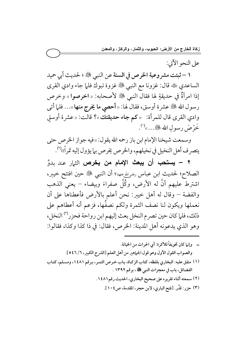على النحو الآتي:

١ – ثبتت مشروعية الخرص في السنة عن النبي ﷺ ؛ لحديث أبي حميد الساعدي ﷺ قال: غزونا مع النبي ﷺ غزوة تبوك فلما جاء وادي القرى إذا امرأةٌ في حديقةٍ لها فقال النبي ﷺ لأصحابه: « اخرصوا » وخرص رسول الله ﷺ عشرة أوسق، فقال لها: «أحصى ما يخرج منها»... فلما أتى وادي القرى قال للمرأة: «كم جاء حديقتك»؟ قالت: «عشرة أوسقٍ خَرْصَ رسولِ اللهِ ﷺ...))

وسمعت شيخنا الإمام ابن باز رحمه الله يقول: «فيه جواز الخرص حتى يتصرف أهل النخيل في نخيلهم، والخرص يخرص بما يؤول إليه تمراً)،'".

٢ – يستحب أن يبعث الإمام من يخرص الث<sub>ا</sub>ر عند بدوِّ الصلاح؛ لحديث ابن عباس رضياللهءها؛ أن النبي ﷺ حين افتتح خيبر، اشترط عليهم أنَّ له الأرض، وكُلَّ صفراءَ وبيضاء – يعني الذهب والفضة – وقال له أهل خيبر: نحن أعلم بالأرض فأعطناها على أن نعملها ويكون لنا نصف الثمرة ولكم نصفُها، فزعم أنه أعطاهم على ذلك، فلما كان حين تصرم النخل بعث إليهم ابن رواحة فحزر<sup>(٣)</sup> النخل، وهو الذي يدعونه أهل المدينة: الخرص، فقال: في ذا كذا وكذا، فقالوا: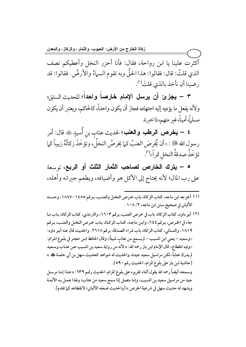أكثرت علينا يا ابن رواحة، فقال: فأنا أحزر النخل وأعطيكم نصف الذي قلتُ: قال: فقالوا: هذا الحقَّ وبه تقوم السهاءُ والأرضُ. فقالوا: قد رضينا أن نأخذ بالذي قلتَ''.

٣ – يجزئ أن يرسل الإمام خارصاً واحداً؛ للحديث السابق؛ ولأنه يفعل ما يؤديه إليه اجتهاده فجاز أن يكون واحداً، كالحاكم، ويعتبر أن يكون مسلماً، أميناً، غير متهم، ذا خبرة.

**٤ – يخرص الرطب والعنب؛** لحديث عتاب بن أُسيدٍ ﷺ قال: أمر رسول الله ﷺ : «أن يُخرصَ العنبُ كما يخرصُ النخلُ، وتؤخَذَ زكاتُهُ زبيباً كما تؤخَذُ صدقةُ النخل تمراً»<sup>(٢)</sup>.

0 – يترك الخارص لصاحب الثمار الثلث أو الربع، <sub>توسعة</sub> على رب المال؛ لأنه يحتاج إلى الأكل هو وأضيافه، ويطعم جيرانه وأهله،

- (١) أخرجه ابن ماجه، كتاب الزكاة، باب خرص النخل والعنب، برقم ١٤٨٥-١٨٤٧، وحسنه الألباني في صحيح سنن ابن ماجه، ١٠٨ / ١٠٨ .
- (٢) أبو داود، كتاب الزكاة، باب في خرص العنب، برقم ١٦٠٣، والترمذي، كتاب الزكاة، بـاب مـا جاء في الخرص، برقم ٢٤٤، وابن ماجه، كتاب الزكاة، باب خرص النخل والعنب، برقم ١٨١٩، والنسائي، كتاب الزكاة، باب شراء الصدقة، برقم ٢٦١٨. والحديث قال عنه أبو داود: ‹‹وسعيد – يعني ابن المسيب – لم يسمع من عتابِ شيئاً›› وقال الحافظ ابـن حجـر في بلـوغ المرام: «وفيه انقطاع» قال الإمام ابن باز رحمه الله: « لأنه من رواية سعيد بن المسيب عـن عتـاب وسـعيد لم يدرك عتاباً، لكن مراسيل سعيد جيدة، والحديث له شواهد كحديث سهل بن أبي حثمـة کُه » [حاشية ابن باز على بلوغ المرام، الحديث رقم ٥٩٠]. وسمعته أيضاً رحمه الله يقول أثناء تقريره على بلوغ المرام، الحديث رقـم ٦٣٩: «هـذا إمـا مرسـل جيد من مراسيل سعيد بن المسيب، وإما متصل إذا سمع سعيد من عتاب؛ ولهذا عمل به الأئمة ويشهد له حديث سهل في شرعية الخرص» [والحديث ضعفه الألباني؛ لانقطاعه كما تقدم].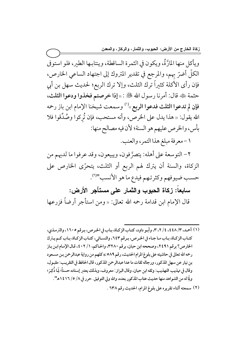ويأكل منها المارَّةُ، ويكون في الثمرة الساقطة، وينتابها الطير، فلو استوفي الكلُّ أضرَّ بهم، والمرجع في تقدير المتروك إلى اجتهاد الساعي الخارص، فإن رأى الأكلة كثيراً ترك الثلث، وإلا ترك الربع؛ لحديث سهل بن أبي حثمة ڜه قال: أمرنا رسول الله ﷺ : «إذا خرصتم فخذوا ودعوا الثلث، فإن لم تدعوا الثلث فدعوا الربع»<sup>(י)</sup> وسمعت شيخنا الإمام ابن باز رحمه الله يقول: « هذا يدل على الخرص، وأنه مستحب، فإن تُركوا وصُدِّقوا فلا بأس، والخرص عليهم هو السنة؛ لأن فيه مصالح منها:

١ - معرفة مبلغ هذا التمر، والعنب.

٢- التوسعة على أهله: يتصرَّفون، ويبيعون، وقد عرفوا ما لديهم من الزكاة، والسنة أن يترك لهم الربع أو الثلث، يتحرّى الخارص على حسب ضيوفهم وكثرتهم فيدع ما هو الأنسب"ا".

سابعاً: زكاة الحبوب والثمار على مستأجر الأرض:

قال الإمام ابن قدامة رحمه الله تعالى: «ومن استأجر أرضاً فزرعها

- (١) أحمد، ٣/ ٤٤٨، ٤/ ٢، ٣، وأبو داود، كتاب الزكاة، باب في الخرص، برقم ١٦٠٥، والترمذي، كتـاب الزكـاة، بـاب مـا جـاء في الخـرص، بـرقم ٦٤٣، والنسـائي، كتـاب الزكـاة، بـاب كـم يـترك الخارص؟ برقم ٢٤٩١، وصححه ابن حبان، برقم ٣٢٨٠، والحاكم، ١/ ٤٠٢، قال الإمام ابن باز رحمه الله تعالى في حاشيته على بلوغ المرام الحديث، رقم ٥٨٩:«كلهم من رواية عبدالرحمن بـن مسـعود بن نيار عن سهل المذكور، ورجاله ثقات ما عدا عبدالرحمن المذكور، قال الحافظ في التقريب: مقبول، وقال في تهذيب التهذيب: وثقه ابن حبان، وقال البزار : معروف، وبذلك يعتبر إسناده حسناً؛ لِمَا ذُكِرَ؛ ولِّا له من الشواهد منها حديث عتاب المذكور بعده، والله ولي التوفيق. حرر في ٨/ ٥/ ١٤١٦ه".
	- (٢) سمعته أثناء تقريره على بلوغ المرام، الحديث رقم ٦٣٨ .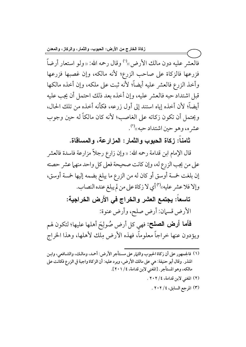فالعشر عليه دون مالك الأرض»<sup>(י)</sup> وقال رحمه الله: «ولو استعار أرضاً فزرعها فالزكاة على صاحب الزرع؛ لأنه مالكه، وإن غصبها فزرعها وأخذ الزرع فالعشر عليه أيضاً؛ لأنه ثبت على ملكه، وإن أخذه مالكها قبل اشتداد حبه فالعشر عليه، وإن أخذه بعد ذلك احتمل أن يجب عليه أيضاً؛ لأن أخذه إياه استند إلى أول زرعه، فكأنه أخذه من تلك الحال، ويحتمل أن تكون زكاته على الغاصب؛ لأنه كان مالكاً له حين وجوب عشر ه، وهو حين اشتداد حبه»<sup>(۲)</sup>.

ثامناً: زكاة الحبوب والثمار : المزارعة، والمساقاة.

قال الإمام ابن قدامة رحمه الله: « وإن زارع رجلاً مزارعة فاسدة فالعشر على من يجب الزرع له، وإن كانت صحيحة فعلى كل واحد منهما عشر حصته إن بلغت خمسة أوسق أو كان له من الزرع ما يبلغ بضمه إليها خمسة أوسق، وإلا فلا عشر عليه»'') أي لا زكاة على من لم يبلغ عنده النصاب.

> تاسعاً: يجتمع العشر والخراج في الأرض الخراجية: الأرض قسمان: أرض صلح، وأرض عنوة:

**فَأَما أرض الصلح:** فهي كل أرض صُولِحَ أهلها عليها؛ لتكون لهم ويؤدون عنها خراجاً معلوماً، فهذه الأرض مِلك لأهلها، وهذا الخراج

- (١) فالجمهور على أن زكاة الحبوب والثيار على مستأجر الأرض: أحمد، ومالك، والشـافعي، وابـن المنذر . وقال أبو حنيفة: هي على مالك الأرض، ويرد عليه: أن الزكاة واجبة في الزرع فكانت على مالكه، وهو المستأجر . [المغنى لابن قدامة، ٤/ ٢٠١].
	- (٢) المغنى لابن قدامة، ٢٠٢ / ٢٠٢ .
		- (٣) المرجع السابق، ٢٠٢ / ٢٠٢ .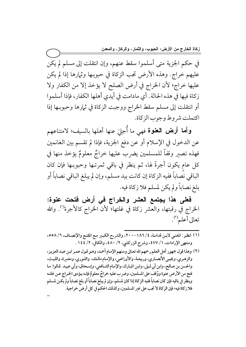في حكم الجزية متى أسلموا سقط عنهم، وإن انتقلت إلى مسلم لم يكن عليهم خراج. وهذه الأرض تجب الزكاة في حبوبـها وثـمارها إذا لم يكن عليها خراج؛ لأن الخراج في أرض الصلح لا يؤخذ إلا من الكفار ولا زكاة فيها في هذه الحالة. أي مادامت في أيدي أهلها الكفار، فإذا أسلموا أو انتقلت إلى مسلم سقط الخراج ووجبت الزكاة في ثمارها وحبوبـها إذا اكتملت شروط وجوب الزكاة.

وأما أرض العنوة <sub>فهي</sub> ما أُجلِ<sub>ّ</sub> عنها أهلها بالسيف؛ لامتناعهم عن الدخول في الإسلام أو عن دفع الجزية، فإذا لم تقسم بين الغانمين فهذه تصير وقفاً للمسلمين يضرب عليها خراجٌ معلومٌ يؤخذ منها في كل عام يكون أجرةً لها، ثم ينظر في باقي ثمرتـها وحبوبـها فإن كان الباقي نصاباً ففيه الزكاة إن كانت بيد مسلم، وإن لم يبلغ الباقي نصاباً أو بلغ نصاباً ولم يكن لمسلم فلا زكاة فيه.

فعلى هذا يجتمع العشر والخراج في أرض فتحت عنوة: الخراج في رقبتها، والعشر زكاة في غلتها؛ لأن الخراج كالأجرة<sup>(י)</sup>. والله تعالى أعلم (٢).

(١) انظر : المغنى لابـن قدامـة، ٤/ ١٨٦ -٢٠٠، والشر-ح الكبـير مـع المقنـع والإنصـاف، ٦/ ٥٥٨. ومنتهى الإرادات، ١/ ٤٧٧، وشرح الزركشي، ٢/ ٤٨٠، والكافي، ٢/ ١٤٤ .

ــــــــــــــــــــــــــــــــــــــــــــــــــــــــــــــــــــــــــــ

(٢) وهذا قول جمهور أهل العلم رحمهم الله تعالى ومنهم الإمام أحمد، وهـو قـول عمـر ابـن عبـد العزيـز، والزهري، ويحيى الأنصاري، وربيعـة، والأوزاعي، والإمـام مالـك، والثـوري، ومغـيرة، والليـث، والحسن بن صالح، وابن أبي ليلي، وابن المبارك، والإمام الشافعي، وإسحاق، وأبي عبيد. قالوا: ما فتح من الأرض عنوة ووَقفٍ على المسلمين، وضرب عليه خراجٌ معلومٌ فإنه يؤدى الخِراج عـن غلته وينظر في باقيه فإن كان نصاباً ففيه الزكاة إذا كان لمسلم، وإن لم يبلغ نصاباً أو بلغ نصاباً ولم يكـن لمسـلم فلا زكاة فيه؛ فإن الزكاة لا تجب على غير المسلمين، وكذلك الحكم في كل أرض خراجية. =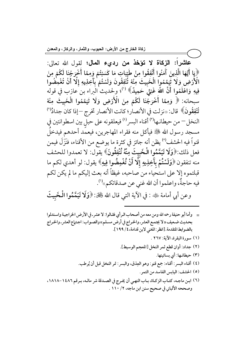عاشراً: الزكاة لا تؤخذ من رديء المال؛ لقول الله تعالى: ﴿يَا أَيُّهَا الَّذِينَ آَمَنُوا أَنْفِقُوا مِنْ طَيِّبَاتِ مَا كَسَبْتُمْ وَمِمَّا أَخْرَجْنَا لَكُمْ مِنَ<br>الْأَرْضِ وَلَا تَيَمَّمُوا الْخَبِيثَ مِنْهُ ثَنْفِقُونَ وَلَسْتُمْ بِآَخِذِيهِ إِلَّا أَنْ تُغْمِضُوا فِيهِ وَاعْلَمُوا أَنَّ اللَّهَ غَنِيٌّ حَمِيدٌ﴾ (''؛ ولحديث الَبراء بن َعازب في قوله سبحانه: ﴿ وَمِمَّا أَخْرَجْنَا لَكُمْ مِنَ الْأَرْضِ وَلَا تَيَمَّمُوا الْخَبِيثَ مِنْهُ تُنْفِقُونَ﴾ قال: «نزلت في الأنصار؛ كانت الأنصار تخرج –إذا كان جدادٌ<sup>(٢)</sup> النخل – من حيطانـها<sup>(٣)</sup> أقناء البسر<sup>(٤)</sup> فيعلقونه على حبل بين اسطوانتين في مسجد رسول الله ﷺ فيأكل منه فقراء المهاجرين، فيعمد أحدهم فيدخلَ قنواً فيه الحشف<sup>(٥)</sup> يظن أنه جائز في كثرة ما يوضع من الأقناء، فنَزَلَ فيمن فعل ذلك:﴿وَلَا تَيَمَّمُوا الْخَبِيتَ مِنْهُ تُنْفِقُونَ﴾ يقول: لا تعمدوا للحشف منه تنفقون ﴿وَلَسْتُمْ بِآَخِذِيهِ إِلَّا أَنْ تُغْمِضُوا فِيهِ﴾ يقول: لو أهدي لكم ما قبلتموه إلا على استحياء من صاحبه، غيظاً أنه بعث إليكم ما لم يكن لكم فيه حاجةٌ، واعلموا أن الله غني عن صدقاتكم»<sup>(٦)</sup>.

وعن أبي أمامة ﷺ : في الآية التي قال الله گَجَكَ: ﴿وَلَا تَيَمَّمُوا الْخَبِيثَ

- = وأما أبو حنيفة رحمه الله ومن معه من أصحاب الرأي فقـالوا: لا عشر ـ في الأرض الخراجيـة واسـتدلوا بحديث ضعيف « لا يجتمع العشر ـ والخراج في أرض مسلم» والصـواب: اجـتماع العشر ـ والخـراج بالضوابط المتقدمة. [انظر : المغنى لابن قدامة، ٤ / ١٩٩].
	- (١) سورة البقرة، الآية: ٢٦٧ .
	- (٢) جداد: أوان قطع ثمر النخل [المعجم الوسيط].
		- (٣) حيطانها: أي بساتينها.
	- (٤) أقناء البسر : أقناء: جمع قنو: وهو العِذق، والبسر : تمر النخل قبل أن يُرطب.
		- (٥) الحشف: اليابس الفاسد من التمر.
- (٦) ابـن ماجـه، كتـاب الزكـاة، بـاب النهـى أن يخـرج في الصـدقة شر مالـه، بـرقم ١٤٨٦ -١٨١٨، وصححه الألباني في صحيح سنن ابن ماجه، ٢ / ١١٠ .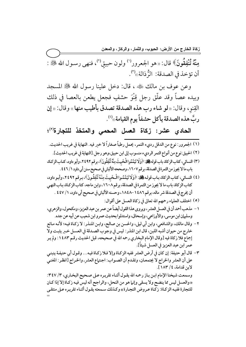مِنْهُ تُنْفِقُونَ﴾ قال: «هو الجعرور<sup>(١)</sup> ولون حبيقٍ<sup>(٢)</sup>، فنهى رسـول الله ﷺ : أن تؤخذ في الصدقة: الزُّذالة »'".

وعن عوف بن مالك ﷺ ، قال: دخل علينا رسول الله ﷺ المسجد وبيده عصاً وقد علَّق رجل قِنْوَ حشفٍ فجعل يطعن بالعصا في ذلك القِنوِ، وقال: «لو شاء رب هذه الصدقة تصدق بأطيب منها» وقال: «إن ربَّ هذه الصدقة يأكل حشفاً يوم القيامة»<sup>(؛)</sup>.

الحادي عشر: زكاة العسل المحم*ي* والمتخذ للتجارة<sup>(٥)</sup>؛

- (١) الجعرور: نوع من الدقل رديء التمر، يحمل رطباً صغاراً لا خير فيه. النهاية في غريب الحديث.
- (٢) الحبيق:نوع من أنواع التمر الرديء منسوب إلى ابن حبيق،وهو رجل.[النهاية في غريب الحديث].
- (٣) النسائي، كتاب الزكاة، باب قوله كَبْكَ: ﴿وَلَا تَيَمَّمُوا الْخَبِيثَ مِنْهُ تُنْفِقُونَ﴾، برقم ٢٤٩٢، وأبو داود، كتـاب الزكـاة، باب ما لا يجوز من الثمرة في الصدقة، برقم ١٦٠٧، وصححه الألباني في صحيح سنن أبي داود ١ / ٤٤٦ .
- لهَ) النسائي، كتاب الزكاة، بـاب قولـه كَتِلَة: ﴿وَلَا تَيَمَّمُوا الْـخَبِيثَ مِنْهُ تُنْفِقُونَ﴾، بـرقم ٢٤٩٢، وأبـو داود، كتاب الزكاة، باب ما لا يجوز من الثمرة في الصدقة، برقم ٢٠٨٠، وابن ماجه، كتاب الزكـاة، بـاب النهـي أن يخرج في الصدقة شر ماله، برقم ١٤٨٦ –١٨٤٨، وحسنه الألباني في صحيح أبي داود، ١ / ٤٤٧ .
	- (٥) اختلف العلماء رحمهم الله تعالى في زكاة العسل على أقوال:

ــــــــــــــــــــــــــــــــــــــــــــــــــــــــــــــــــــــــــــ

- ١ مذهب أحمد أن في العسل العشر، ويروى هذا القول أيضاً عن عمر بن عبد العزيز، ومكحول، والزهري، وسليان ابن موسى، والأوزاعي، وإسحاق، واستدلوا بحديث عمرو ابن شعيب عن أبيه عن جده.
- ٢- وقال مالك، والشافعي، وابن أبي ليلي، والحسن بن صالح، وابن المنذر: لا زكـاة فيـه؛ لأنـه مـائع خارج من حيوان أشبه اللبن، قال ابن المنذر : ليس في وجوب الصـدقة في العسـل خـبر يثبـت ولا إجماع فلا زكاة فيه [وقال الإمام البخاري رحمه الله في صحيحه، قبل الحديث رقـم ١٤٨٣: ولم يـر عمر ابن عبد العزيز في العسل شيئاً].
- ٣− قال أبو حنيفة: إن كان في أرض العشر ففيه الزكاة وإلا فلا زكـاة فيـه… وقـول أبي حنيفـة ينبنـي على أن العشر والخراج لا يجتمعـان، وتقـدم أن الصـواب: اجـتماع العشر. والخـراج [انظـر: المغني لاين قدامة، ٤/ ١٨٣].

وسمعت شيخنا الإمام ابن باز رحمه الله يقول أثناء تقريره على صحيح البخاري، ٣/ ٣٤٧: «والعسل ليس مما ينضح ولا يسقى وإنها هو من النحل، والراجح أنه ليس فيه زكـاة إلا إذا كـان للتجارة ففيه الزكاة: زكـاة عـروض التجـارة» وكـذلك سـمعته يقـول أثنـاء تقريـره عـلى منتقـى =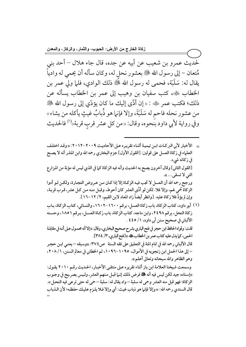لحديث عمرو بن شعيب عن أبيه عن جده، قال جاء هلال – أحد بني مُتعان – إلى رسول الله ﷺ بعشور نحل له، وكان سأله أن يحمى له وادياً يقال له: سَلَبَة، فحمى له رسول الله ﷺ ذلك الوادي، فلما ولي عمر بن الخطاب ﷺ، كتب سفيان بن وهيب إلى عمر بن الخطاب يسأله عن ذلك؛ فكتب عمر ﷺ : « إن أدَّى إليك ما كان يؤدِّي إلى رسول الله ﷺ من عشور نحله فاحم له سَلَبَةَ، وإلا فإنما هو ذُبابُ غيثٍ يأكله من يشاء» وفي رواية لأبي داود بُنحوه، وقال: «من كل عشر قرب قربة»<sup>(١)</sup> فالحديث

= الأخبار لأبي البركـات ابـن تيميـة أثنـاء تقريـره عـلى الأحاديـث ٢٠٠٩-٢٠١٢: «وقـد اختلـف العلماء في زكاة العسل على قولين: [القول الأول] جزم البخاري رحمه الله وابن المنذر أنه لا يصح فى زكاته شىء. [القول الثاني] وقال آخرون يصح به الحديث وأنه فيه الزكاة كما في الذي ليس له مؤنة من المزارع التي لا تسقى... ». ورجع رحمه الله أن العسل لا تجب فيه الزكاة إلا إذا كان من عروض التجارة، ولكن لـو أدوا الزكاة مُحمى لهم، وإلا فلا. لكن لو أدَّى العشر كان أحوط، وقبل منه مـن كـل عشر ـ قـرب قربـة، وإن لم يؤدِّ فلا زكاة عليه. [وانظر أيضاً زاد المعاد لابن القيم، ٢/ ١٢–١٦].

(١) أبو داود، كتاب الزكاة، باب زكاة العسل، برقم ١٦٠٠-١٦٠٢، والنسائي، كتاب الزكاة، بـاب زكاة النحل، برقم ٢٤٩٨، وابن ماجه، كتاب الزكاة، باب زكاة العسل، برقم ١٨٥١، وحسنه الألباني في صحيح سنن أبي داود، ١/ ٤٤٥ . قلت: وقواه الحافظ ابن حجر في فتح الباري بشرح صحيح البخاري، وقال: «إلا أنه محمول عـلى أنـه في مقابلـة الحمي، كما يدل عليه كتاب عمر بن الخطاب عليه » [فتح الباري، ٣/ ٣٨٤]. قال الألباني رحمه الله في تمام المنة في التعليق على فقه السنة ص2 ٣٧٪: «وسبقه – يعني ابـن حجـر – إلى هذا الحمل ابن زنجويه في الأموال، ١٠٩٥-١٠٩٦، ثم الخطابي في معالم السنن، ١/ ٢٠٨، وهو الظاهر والله سبحانه وتعالى أعلم». وسمعت شيخنا العلامة ابن باز أثناء تقريره على منتقى الأخبار، الحديث رقم ٢٠١٠ يقول: «إسناده جيد لكن ليس فيه أنه ٨٠ فق فرض ذلك إنـما قبـل مـنهم العشر ـ ولـيس بصر ـيح في وجـوب الزكاة؛ فهو قبل منه العشر وحمى له سلبة –واد يقال له: سلبة – حمى له حتى ترعى فيه النحل». قال السندي رحمه الله: «وإلا فإنها هو ذباب غيث: أي وإلا فـلا يلـزم عليـك حفظـه؛ لأن الـذباب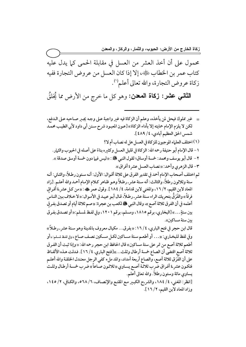محمول على أن أخذ العشر من العسل في مقابلة الحمى كما يدل عليه كتاب عمر بن الخطاب رضي الا إذا كان العسل من عروض التجارة ففيه زكاة عروض التجارة، والله تعالى أعلم''.

 $\rightarrow$ 

ا**لثاني عشر: زكاة المعدن:** وهو كل ما خرج من الأرض مما يُخلقُ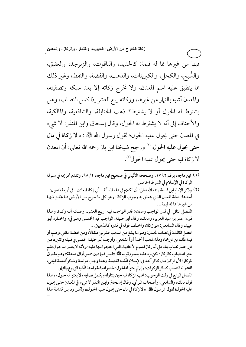فيها من غيرها مما له قيمة: كالحديد، والياقوت، والزبرجد، والعقيق، والسُّبح، والكحل، والكبريتات، والذهب، والفضة، والنفط، وغير ذلك مما ينطبق عليه اسم المعدن، ولا تخرج زكاته إلا بعد سبكه وتصفيته، والمعدن أشبه بالثهار من غيرها، وزكاته ربع العشر إذا كمل النصاب، وهل يشترط له الحول أو لا يشترط؟ ذهب الحنابلة، والشافعية، والمالكية، والأحناف إلى أنه لا يشترط له الحول، وقال إسحاق وابن المنذر: لا شيء في المعدن حتى يحول عليه الحول؛ لقول رسول الله ﷺ : « لا زكاة في مال حتى يحول عليه الحول»<sup>(١)</sup> ورجح شيخنا ابن باز رحمه الله تعالى: أن المعدن لا زكاة فيه حتى يحول عليه الحول").

(٢) وذكر الإمام ابن قدامة رحمه الله تعالى: أن الكلام في هذه المسألة – أي زكاة المعادن – في أربعة فصول: أحدها: صفة المعدن الذي يتعلق به وجوب الزكاة: وهو كل ما خرج من الأرض مما يُخلق فيها من غيرها مما له قيمة... الفصل الثاني: في قدر الواجب وصفته: قدر الواجب فيه: ربع العشر .، وصفته أنه زكاة، وهـذا قول: عمر بن عبد العزيز، ومالك، وقال أبو حنيفة، الواجب فيه الخمـس وهـو فيء واختـاره أبـو عبيد، وقال الشافعي: هو زكاة، واختلف قوله في قدره كالمذهبين... الفصل الثالث: في نصاب المعدن: وهـو مـا يبلـغ مـن الـذهب عشر ـين مثقـالاً، ومـن الفضـة مـائتي درهـم، أو قيمة ذلك من غيرهما، وهذا مذهب [أحمد][و]الشافعي. وأوجب أبـو حنيفـة الخمـس في قليلـه وكثـيره، مـن غير اعتبار نصاب بناء على أنه ركاز لعموم الأحاديث التبي احتجـوا بـها عليـه؛ ولأنـه لا يعتـبر لـه حـول فلـم يعتبر له نصاب كالركاز؛ لكن يرد عليه بعمـوم قولـه ﷺ: «ليس فيها دون خمس أواق صـدقة» وهـو مفـارق للركاز؛ لأن الركاز مال كافر أخذ في الإسلام فأشبه الغنيمة، وهذا وجب مواساة وشكراً لنعمة الغِني، فاعتبر له النصاب كسائر الزكوات؛ وإنها لم يعتبر له الحول؛ لحصوله دفعة واحدة فأشبه الزروع والثهار. الفصل الرابع في وقت الوجوب: تجب الزكاة فيه حين يتناوله ويكمل نصابه ولا يعتبر له حول، وهـذا قول مالك، والشافعي، وأصحاب الرأي، وقال إسحاق وابن المنذر لا شيء في المعدن حتى يحول عليه الحول؛ لقول الرسول ﷺ : «لا زكاة في مال حتى يحول عليه الحول» ولكن رد ابن قدامة هذا

<sup>(</sup>١) ابن ماجه، برقم ١٧٩٢، وصححه الألباني في صحيح ابن ماجه، ٢/ ٩٨، وتقدم تخريجه في منـزلة الزكاة في الإسلام في الشرط الخامس.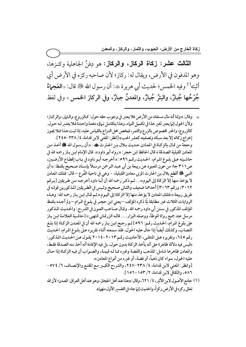الثالث عشر: زكاة الركاز، والركاز: هو دِفنُ الجاهلية وكنزها، وهو المدفون في الأرض، ويقال له: ركاز؛ لأن صاحبه ركزه في الأرض أي أثبته<sup>(١)</sup> وفيه الخمس؛ لحديث أبي هريرة ﷺ: أن رسول الله ﷺ قال: «العَجماءُ جُرْحُها جُبارٌ، والبئرُ جُبارٌ، والمعدنُ جبارٌ، وفي الركاز الخمس » وفي لفظ

- \_ وقال: «ولنا أنه مال مستفاد من الأرض فلا يعتبر في وجوب حقه حول: كـالزروع، والـثمار، والركـاز؛ ولأن الحول إنها يعتبر لغير هذا في تكميل النهاء، وهذا يتكامل نماؤه دفعة واحدة فلا يعتبر له حول. كالزروع، والخبر مخصوص بالزرع والثمر، فيخص محل النزاع بالقياس عليه، إذا ثبت هـذا فـلا يجـوز إخراج زكاته إلا بعد سبكه وتصفيته كعشر الحب» [انظر: المغنى لابن قدامة، ٤/ ٢٣٨-٢٤٥]. وحجة من قـال بالزكـاة في المعـادن حـديث بـلال بـن الحـارث ، ، «أن رسـول الله ، ، أصل عليه الله عنه المعادن القبلية الصدقة » قال الحافظ ابن حجر : « رواه أبو داود ». قال الإمام ابـن بـاز رحمه الله في حاشيته عـلى بلـوغ المرام، الحـديث رقـم ٥٩٦: «أخرجـه أبـو داود في بـاب إقطـاع الأرضـين، ص٢١١ ج٨ من عون المعبود عن ربيعة بن أبي عبد الرحمن مرسلاً بإسـناد صـحيح بلفـظ: «أن النبي ﷺ أقطع بلال بن الحارث المزني معادن القبلية، – وهي في ناحية الفُرع – قال: فتلك المعادن لا يؤخذ منها إلا الزكاة إلى اليوم»… ثـم ذكـر رحمه الله أن أبـا داود أخرجـه مـن طـريقين [بـرقم ٣٠٦٢، ورقم ٣٠٦٣] أحدهما ضعيف والثاني صحيح وليس في الطريقين المذكورين قوله في طريق ربيعة «فتلك المعادن لا يؤخذ منها إلا الزكاة إلى اليـوم» ثـم قـال ابـن بـاز رحمه الله: وهـذه الروايات الثلاث غير مطابقة لِمَا ذكره المؤلف – يعني ابن حجر في بلـوغ المرام – ولم أجـده بلفـظ المؤلف المذكور في سنن أبي داود رحمه الله. وقـال صـاحب العـون في الشر ـح: والحـديث المذكور مرسل عند جميع رواة الموطأ، ووصله البزار.... قالـه الزرقـاني انتهـي» [حاشـية العلامـة ابـن بـاز على بلوغ المرام، الحديث رقـم: ٥٩٦] ثـم رجـح ابـن بـاز رحمه الله أن في المعـدن الزكـاة إذا بلـغ النصابِّ، وكذلك أيضاً إذا حال عليه الحول، فقد سمعته أثناء تقريره عـلى بلـوغ المرام، الحـديثُ رقم ٢٤٥، وتقريره عـلى المنتقـى، الأحاديث رقـم ٢٠١٣-٢٠١٤ يقـول عـن الحـديث المذكور : «ليس فيه دلالة ظاهرة على أنه يأخذ الزكاة بدون حول، بل فيه الإفادة أنه أخذ منه الصدقة فقط، والمعادن ظاهرها شامل: للذهب والفضة وغيره مما لـه قيمـة، والصـواب أن فيـه الزكـاة إذا حـال عليه الحول، سواء كان ذهباً، أو فضة، أو غيره من أنواع المعادن». [وانظر : المغني لابن قدامة، ٤/ ٢٣٨-٢٤٧، والشرح الكبير مع المقنع والإنصاف، ٦/ ٥٧٤-٨٦ه، والكافي لابن قدامة، ٢/ ١٥٣-١٥٦]. (١) جامع الأصول لابن الأثير، ٤/ ٦٢١، وقال: «هذا عند أهل الحجاز، وهو عند أهل العراق: المعدن؛ لأن الله
	- تعالى ركزه في الأرض ركزاً، والحديث إنها جاء في التفسير الأول منهـ)».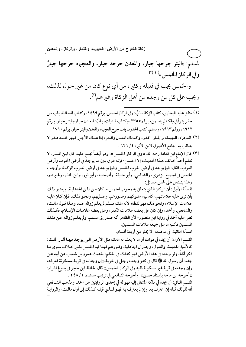زكاة الخارج من الأرض: الحبوب، والثمار، والركاز، والمعدن لمسلم: «البئر جرحها جبار، والمعدن جرحه جبار، والعجماء جرحها جبارٌ وفي الركاز الخمس»(١).(٢)

والخمس يجب في قليله وكثيره من أي نوع كان من غير حول لذلك، ويجب على كل من وجده من أهل الزكاة وغيرهم").

- (١) متفق عليه: البخاري، كتاب الزكاة، بابٌ: وفي الركاز الخمس، برقم ١٤٩٩، وكتـاب المسـافاة، بـاب مـن حفـر بئـراً في مِلكـه لم يضـمن، بـرقم ٢٣٥٥، وكتـاب الـديات، بـابٌ: المعـدن جبـار والبئـر جبـار، بـرقم ٦٩١٢، ورقم ٦٩١٣، ومسلم، كتاب الحدود، باب جرح العجماء والمعدن والبئر جبار، برقم ١٧١٠ .
- (٢) العجماء: البهيمة، والجبار: الهدر، وكذلك المعدن والبئر، إذا هلك الأجير فيهما فدمه هدر لا يطالب به: جامع الأصول لابن الأثير، ٤/ ٦٢١ .
- (٣) قال الإمام ابن قدامة رحمه الله: «وفي الركاز الخمس»: وهو أيضاً مجمع عليه، قال ابـن المنـذر: لا نعلم أحداً خـالف هـذا الحـديث، إلا الحسـن؛ فإنـه فـرق بـين مـا يوجـد في أرض الحـرب وأرض العرب، فقال: فيها يوجد في أرض الحرب الخمس وفيها يوجد في أرض العرب الزكاة، وأوجب الخمس في الجميع الزهري، والشافعي، وأبو حنيفة، وأصحابه، وأبو ثور، وابن المنذر، وغيرهم، وهذا يشتمل على خمس مسائل:

المسألة الأولى: أن الركاز الذي يتعلق به وجوب الخمس ما كان مـن دفـن الجاهليـة، ويعتـبر ذلـك بأن ترى عليه علاماتـهم، كأسـماء ملـوكهم وصـورهم، وصـلبهم، ونحـو ذلـك، فـإن كـان عليـه علامات الإسلام، ونحو ذلك فهو لقطة؛ لأنه ملك مسلم لم يعلم زواله عنه، وهـذا قـول مالـك، والشافعي، وأحمد، وإن كان على بعضه علامات الكفر، وعلى بعضه علامات الإسلام، فكذلك نص عليهٌ أحمد في رواية ابن منصور؛ لأن الظاهر أنـه صـار إلى مسـلـم، ولم يعلــم زوالـه عـن ملـك المسلمين فأشبه ما على جميعه علامات المسلمين.

المسألة الثانية: في موضعه: لا يخلو من أربعة أقسام:

القسم الأول: أن يجده في موات أو ما لا يعلم له مالك مثل الأرض التي يوجد فيها آثار الملك: كالأبنية القديمة، والتلول، وجدران الحاهلية، وقبورهم فهذا فيه الخمس بغير خلاف سوى ما ذكر آنفاً، ولو وجده في هذه الأرض فهو كذلك في الحكم؛ لحديث عمرو بن شعيب عن أبيه عـن جده: أن رسول الله ﷺ قال في كنـز وجـده رجـل في خربـة «إن وجدتـه في قريـة مسـكونة فعرفـه، وإن وجدته في قرية غير مسكونة ففيه وفي الركاز الخمس» قال الحافظ ابن حجر في بلـوغ المرام: «أخرجه ابن ماجه بإسناد حسن». وأخرجه الشافعي في ترتيب مسنده، ١ / ٢٤٨ . القسم الثاني: أن يجده في ملكه المنتقل إليه فهو له في إحدى الروايتين عن أحمد، ومذهب الشـافعي أنه للمالك قبله إن اعترف به، وإن لم يعترف بـه فهـو للـذي قبلـه كـذلك إلى أول مالـك، والروايـة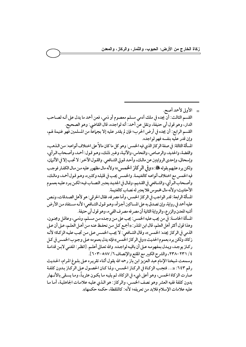\_ الأولى لأحمد أصح. القسم الثالث: أنَّ يجده في ملك آدمي مسلم معصوم أو ذمي، فعن أحمد ما يدل على أنـه لصـاحب الدار، وهو قول أبي حنيفة، ونقل عن أحمد: أنه لواجده، قال القاضي: وهو الصحيح. القسم الرابع: أن يجده في أرض الحرب؛ فإن لم يقدر عليه إلا بجهاعة من المسلمين فهو غنيمة لهم، وإن قدر عليه بنفسه فهو لواجده. المسألة الثالثة: في صفة الركاز الذي فيه الخمس: وهو كل ما كان مالاً على اختلاف أنواعـه: مـن الـذهب، والفضة، والحديد، والرصاص، والنحاس، والآنية، وغير ذلك، وهـو قـول: أحمد، وأصـحاب الـرأى، وإسحاق، وإحدى الروايتين عن مالك، وأحد قولي الشافعي. والقول الآخر: لا تجب إلا في الأثمان، ولكن يرد عليهم بقوله ﷺ :«وفي الركاز الخمسي»؛ ولأنه مال مظهور عليه من مال الكفار فوجب فيه الخمس مع اختلاف أنواعه كالغنيمة. والخمس يجب في قليلـه وكثـيره، وهـو قـول أحمـد، ومالـك، وأصحاب الرأي، والشـافعي في القـديم، وقـال في الجديـد يعتـير النصـاب فيـه؛ لكـن يـرد عليـه بعمـوم الأحاديث؛ ولأنه مال مخموسٌ فلا يعتبر له نصاب كالغنيمة. المسألة الرابعة: قدر الواجب في الركاز الخمس، وأما مصرفه، فقال الخرقي: هو لأهل الصدقات، ونص عليه أحمد في رواية، وإن تصدق به على المساكين أجـزأه، وهـو قـول الشـافعي؛ لأنـه مسـتفاد مـن الأرض أشبه المعدن والزرع، والرواية الثانية أن مصر فه مصر ف الفيء، وهو قول أبي حنيفة. المسألة الخامسة: في من يجب عليه الخمس: يجب على من وجده من مسلم، وذمي، وعاقل ومجنون، وهذا قول أكثر أهل العلم، قال ابن المنذر : «أجمع كل من نحفظ عنه من أهل العلـم، عـلى أن عـلى الذمي في الركاز يجده: الخمس»، وقال الشـافعي: لا يجب الخمـس عـلى مـن تجب عليـه الزكـاة؛ لأنـه زكاة، ولكن يرد بعموم الحديث «وفي الركاز الخمس» فإنه يدل بعمومه عـلى وجـوب الخمـس في كـل ركـاز يوجـد، ويـدل بمفهومـه عـلى أن باقيـه لواجـده. والله تعـالى أعلـم. [انظـر : المغنـي لابـن قدامـة ٤/ ٢٣١-٢٣٨، والشرح الكبير مع المقنع والإنصاف ٦/ ٥٨٧-٢٠٣]. وسمعت شيخنا الإمام عبد العزيز ابن باز رحمه الله يقول أثناء تقريره عـلى بلـوغ المرام، الحـديث رقم ٦٤٣: «... فتجب الزكاة في الركاز الخمس، ولما كان الحصول على الركاز بدون كلفة صارت الزكاة الخمس، وهو أعلى شيء في الزكاة، ثم يليه ما يكـون عثريـاً، ومـا يسـقي بالأنــهار بدون كلفة ففيه العشر وهو نصف الخمس، والركاز: هو الذي عليه علامات الجاهلية، أما ما عليه علامات الإسلام فلابد من تعريفه؛ لأنه: كاللقطة، حكمه حكمها».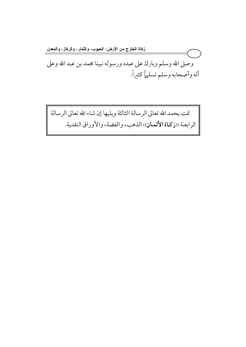زكاة الخارج من الأرض: الحبوب، والثمار، والركاز، والمعدن وصلى الله وسلم وبارك على عبده ورسوله نبينا محمد بن عبد الله وعلى آله وأصحابه وسلم تسليماً كثيراً.

تمت بحمد الله تعالى الرسالة الثالثة ويليها إن شاء الله تعالى الرسالة الرابعة ((زكاة الأثمان)) الذهب، والفضة، والأوراق النقدية.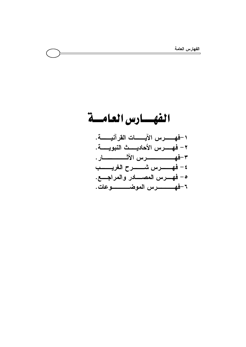## الفهسارس العامسة ٢ – فهــــــــرس الأحاديــــــث النبويــــــة. ه – فهــــرس المصــــــادر والمراجــــع.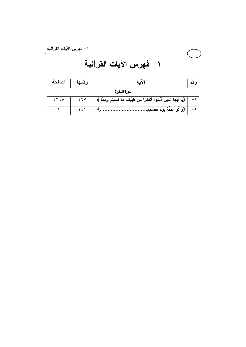## 1 – فهرس الآيات القرآنية

| الصفحة |     | 'لاُما                                                                                |  |
|--------|-----|---------------------------------------------------------------------------------------|--|
|        |     | سورة البقرة                                                                           |  |
| YY     | 4.4 | ﴿يَا أَيُّهَا الَّذِينَ آَمَنُوا أَنْفِقُوا مِنْ طُيِّبَاتِ مَا كَسَبْتُمْ وَمِمَّا ﴾ |  |
| ٥      | ۱٤۱ | ﴿وَأَتُوا حَقَّهُ يَوْمَ حَصَادِهِ                                                    |  |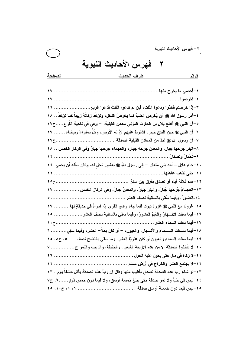٢ – فهرس الأحاديث النبوية طر ف الحديث الر قم ٣-إذا خرصتم فخذوا ودعوا الثلث، فإن لم تدعوا الثلث فدعوا الربع.......................... ١٩ ٤ –أمر. رسول الله صلى الله عليه أن يُخرصَ العنبُ كما يخرصُ النخلُ، وتؤخّذَ زكاتُهُ زييباً كما تؤخّذُ .. ١٨ ٥–أن النبي ﷺ أقطع بلال بن الحارث المزني معادن القبلية، – وهي في ناحية الفُر ع.....ح٢٧ ٦-أن النبي ﷺ حين افتتح خيبر ، اشترط عليهم أنَّ له الأرض، وكُلِّ صفراءَ وبيضاء ....... ١٧ ٨–البئر. جرحها جبار ، والمعن جرحه جبار ، والعجماء جرحها جبارٌ وفي الركاز الخمس .. ٢٨ ١٠-جاء هلال – أحد بني مُتعان – إلى رسول الله ﷺ بعثور نحل له، وكان سأله أن بحمى. ٢٤ ١٣-العَجِماءُ جُرِّحُها جُبارٌ، والبئرُ جُبارٌ، والمعنُ جِبارٌ، وفي الركاز الخمس .................. ٢٧ ١٥-غزونا مع النبي ﷺ غزوة تبوك فلما جاء وادى القرى إذا امرأةٌ في حديقةٍ لها.......... ١٧ ١٦-فيما سقت الأنسهارُ والغيمُ العشورُ، وفيما سقى بالسانية نصف العشر ................... ١٥ ١٨-فيما ســــــــقت الســــــــــماء والأنــــــــهار، والـعيون، – أو كان بـعلاً– الـعشر، وفيما سُقِيَ............ ٦ ١٩-فيما سقت السماء والعيون أو كان عثريّاً العشر، وما سقى بالنضح نصف .... ٥، ح٨، ١٥ ٢٠-لا تأخذوا الصدقة إلا من هذه الأربعة الشعير، والحنطة، والزيبب والتمر ح................. ٧ ٢٣-لو. شاء رب هذه الصدقة تصدق بأطيب منها وقال إن ربَّ هذه الصدقة بأكل حشفاً بوم . ٢٣ ٢٤-ليس في حَبٍّ ولا تمر صدقة حتى يبلغ خمسة أوسق، ولا فيما دون خمس ذودٍ ......٢، ح٧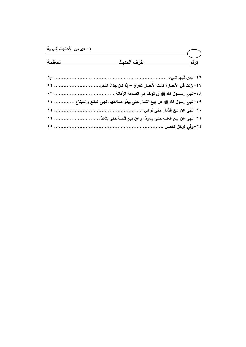| الصفحة | <u>الرقم الحديث</u>                                                           |  |
|--------|-------------------------------------------------------------------------------|--|
|        |                                                                               |  |
|        |                                                                               |  |
|        |                                                                               |  |
|        | ٢٩-نَهَى رسول الله ﷺ عن بيع الثمار حتى يبدُوَ صلاحها، نهى البائع والمبتاع  ١٢ |  |
|        |                                                                               |  |
|        |                                                                               |  |
|        |                                                                               |  |

 $\overline{\mathscr{S}}$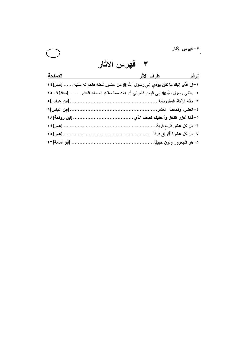## ٣– فهرس الآثار الرقم طرف الأثر الصفحة ١-إن أدَّى إليك ما كان يؤدِّي إلى رسول الله ﷺ من عشور نحله فاحم له سَلَبَهَ …… [عمر]٢٤ ٢-بعثني رسول الله ﷺ إلى اليمن فأمرني أن آخذ مما سقتِ السماء العشر .......[معاذ]٢، ١٥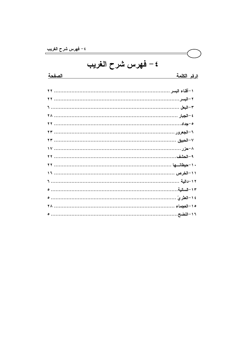٤ – فهرس شرح الغريب

<u>الرقم الكلمة</u>

الصفحة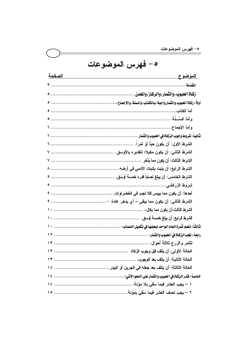| 0- فهرس الموضوعات |  |
|-------------------|--|
|-------------------|--|

| <u>الصفحة</u> الصناعة الصناعية المستخدمة الصناعية الصناعية الصناعية المستخدمة المستخدمة المستخدمة المستخدمة المستخدمة | <u>الموضوع</u> |
|-----------------------------------------------------------------------------------------------------------------------|----------------|
|                                                                                                                       |                |
|                                                                                                                       |                |
|                                                                                                                       |                |
|                                                                                                                       |                |
|                                                                                                                       |                |
|                                                                                                                       |                |
|                                                                                                                       |                |
|                                                                                                                       |                |
|                                                                                                                       |                |
|                                                                                                                       |                |
|                                                                                                                       |                |
|                                                                                                                       |                |
|                                                                                                                       |                |
|                                                                                                                       |                |
|                                                                                                                       |                |
|                                                                                                                       |                |
|                                                                                                                       |                |
|                                                                                                                       |                |
|                                                                                                                       |                |
|                                                                                                                       |                |
|                                                                                                                       |                |
|                                                                                                                       |                |
|                                                                                                                       |                |
|                                                                                                                       |                |
|                                                                                                                       |                |
|                                                                                                                       |                |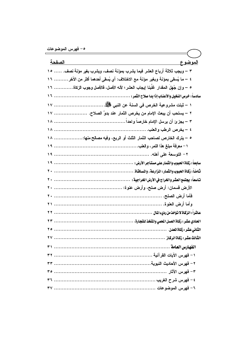| ا <u>لصفحة</u><br><u>الموضوع</u>                                                    |
|-------------------------------------------------------------------------------------|
| ٣ – ويجب ثلاثة أرباع العشر فيما يشرب بمؤنـة نصف، ويشرب بغير مؤنـة نصف.  ١٥          |
| ٤ – ما يُسقى بمؤنـة وبغير مؤنـة مـع الاختلاف: أي يُسقى أحدهما أكثر من الآخر ………. ١٦ |
| ٥ – وإن جُهلَ المقدار غلَّبنا إيجاب العشر؛ لأنه الأصل، فالأصل وجوب الزكاة…………. ١٦   |
|                                                                                     |
| ١ – ثبتت مشروعية الخرص فى السنة عن النبى صلى الله عنه الله عنه الله عنه ١٧          |
| ٢ – يستحب أن يبعث الإمام من يخرص الثمار عند بدوِّ الصلاح.  ١٧                       |
|                                                                                     |
|                                                                                     |
| ه – يترك الخارص لصاحب الثمار الثلث أو الربع، وفيه مصالح منها:  ١٨                   |
|                                                                                     |
|                                                                                     |
|                                                                                     |
|                                                                                     |
|                                                                                     |
|                                                                                     |
|                                                                                     |
|                                                                                     |
|                                                                                     |
|                                                                                     |
|                                                                                     |
|                                                                                     |
|                                                                                     |
|                                                                                     |
|                                                                                     |
|                                                                                     |
|                                                                                     |
|                                                                                     |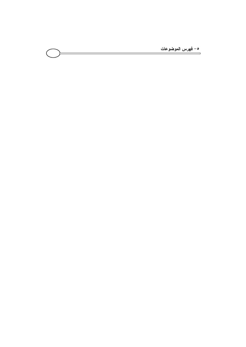<u>ه - فهرس الموضوعات</u>  $\overline{\phantom{0}}$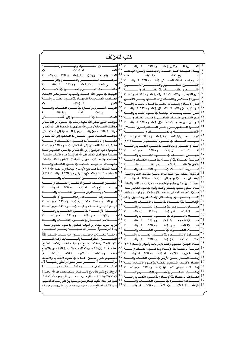| كتب للمؤلف                                                                                              |     |                                                                                                       |
|---------------------------------------------------------------------------------------------------------|-----|-------------------------------------------------------------------------------------------------------|
| فضـــــــــــائل الصـــــــــــــــيام وقيــــــــــــــام رمضـــــــــــــان                           |     | العــــــــروة الــــــــــوثقى _2 ضــــــــــوء الكتــــــــاب والســــــــنة                        |
|                                                                                                         |     | بيسان عقيسدة أهسل السسنة والجماعسة ولسزوم اتباعهسا                                                    |
| العمسرة والحسج والزيسارة فخ ضسوء الكتساب والسسنة                                                        |     |                                                                                                       |
|                                                                                                         |     |                                                                                                       |
|                                                                                                         |     | شسرح أسمساء الله الحسسني فج ضسوء الكتساب والسسنة                                                      |
| رمــــــى الجمــــــرات في ضـــــــوء الكتــــــاب والســــــنة                                         | ع ہ |                                                                                                       |
|                                                                                                         |     | النــــــور والظلمــــــات في الكتــــــاب والســــــنة                                               |
| الجهـاد _ سـبيل الله: فضـله، وأسـباب النصـر علـى الأعـداء                                               |     | نسور التوحيسد وظلمسات الشسرك فج ضسوء الكتساب والسسنة                                                  |
| الفساهيم الصسحيحة للجهساد في ضسوء الكتساب والسسنة                                                       |     | نسور الإخسلاص وظلمسات إرادة السدنيا بعمسل الأخسرة                                                     |
|                                                                                                         |     | نور الإسلام وظلمات الكفسر في ضلوء الكتباب والسلنة                                                     |
| الربسا: أضــــراره وآشـــاره في ضــــوء الكتــــاب والســــنة                                           |     | نسور الإيمسان وظلمسات النفساق فج ضسوء الكتساب والسسنة                                                 |
|                                                                                                         |     | نسور السسنة وظلمسات البدعسة فج ضسوء الكتساب والسسنة  <sup>09</sup>                                    |
|                                                                                                         |     | نسور التقسوي وظلمسات المعاصسي في ضسوء الكتساب والسسنة   *                                             |
| مواقف النبي صلى اللّه عليـه وسـلم في الـدعوة إلى اللّه تعـالى                                           |     | نسور الهسدى وظلمسات الضسلال في ضسوء الكتساب والسسنة                                                   |
| مواقـف الصـحابـة رضـى الله عـنهم _2 الـدعوة إلى الله تعــالى                                            |     | قضسية الستكفير بسين أهسل السسنة وفسرق الضسلال                                                         |
| مواقـــف التــــابعين وأتبــــاعهم ــة الــــدعوة إلى الله تعــــالى                                    |     | <sup>0</sup> \  الاعتصـــــــــــــــام بالكتـــــــــــــــاب والســــــــــــــــــنة               |
| مواقسف العلمساء عسبر العصسور فج السدعوة إلى الله تعسالي                                                 |     | تبريسد حسرارة المعسيبة فجضوء الكتساب والسسنة                                                          |
| مفهــــوم الحكمــــة في ضــــوء الكتــــاب والســــنة                                                   |     | عقيـــــدة المســــــلم في ضـــــــوء الكتــــــاب والســــــنة (٢/١)                                 |
| كيفية دعوة الملحدين إلى الله تعالى في ضوء الكتاب والسنة                                                 |     | أنسواع الصسبر ومجالاتسه فخضوء الكتساب والسسنة                                                         |
| كيفية دعوة الـوثنيين إلى الله تعـالى _ ضوء الكتـاب والسـنة                                              |     | آفـــات اللســــان في ضــــوء الكتــــاب والســــنة                                                   |
| كيفيـة دعوة أهل الكتاب إلى الله تعالى في ضوء الكتاب والسنــة                                            |     | ۲,                                                                                                    |
|                                                                                                         |     | طهــــــــــور المســــــــــلم في ضـــــــــــوءِ الكتـــــــــاب والســـــــــنة                    |
| كيفية دعوة عصاة المسلمين إلى الله تعالى في ضوء الكتاب والسنة                                            |     |                                                                                                       |
| مقومسات الداعيسة النساجح فجضوء الكتساب والسسنة                                                          |     | الأذان والإقامـــــة فج ضــــــــــوء الكتـــــــــاب والســــــــنة                                  |
| فقـــه الـــدعوة _2 صـــحـيح الإمـــام البـخـــاري رحمـــه اللّه (٢/١)                                  |     | ۲۲<br>شسسروط الصيطلاة في ضيوء الكتيساب والسيسنة                                                       |
| لـذكر والـدعاء والعـلاج بـالرقى مـن الكتـاب والسـنة (٤/١)                                               |     | قرة عيون المصلين ببيان صفة صلاة المحسنين في ضوء الكتاب والسنة                                         |
| الــــــــــــــدعاء مــــــــــــــــن الكتـــــــــــــــاب والســــــــــــــــنة                    |     | أركسان الصللاة وواجباتها فج ضوء الكتساب والسنسنة                                                      |
| حصسسن المسسلم مسسن أذكسار الكتسساب والسسسنة                                                             | ٧٤  | سجود السهو: مشروعيته ومواضعه وأسبابه في ضوء الكتاب والسنة                                             |
| ورد الصهياح والمساء في ضهوء الكتــاب والســــنة                                                         | ٧٥  | ٢٧<br>صلاة التطوع: مفهوم وفضائل وأقسام وأنواع في ضوء الكتاب والسنة                                    |
| العسسلاج بسسالرقي مسسن الكتسساب والسسسنة                                                                | ٧٦  | ۲۸<br>صـــلاة الجماعـــة: مفهـــو، وفضـــائل، وأحكــام، وفوائـــد، وآداب                              |
|                                                                                                         |     | ۲۹<br>المســــاجد، مفهـــــوم، وفضـــــائل، وأحكـــــام، وحقـــــوق، وآداب                            |
| نسور الشسيب وحكسم تغسييره فجضسوء الكتساب والسسنة                                                        |     | $\mathsf{r}$<br>الإمامـــة في الصـــــــــلاة في ضـــــــوء الكتـــــــاب والســــــنة                |
| قيسام الليسل: فضسله وآدابسه في ضسوء الكتساب والسسنة                                                     |     | ۳۱                                                                                                    |
| صعسلة الأرحسام في ضعيوء الكتـــاب والســـــنة                                                           |     | ۳۲                                                                                                    |
| \ ^  ســـــــــــر الوالـــــــــــدين في ضــــــــــــوءِ الكتــــــــــاب والســــــــــنة            |     | ٣٢                                                                                                    |
| سيستلامة الصيصدرية ضيصوء الكتيساب والسيسنة                                                              | ۸۲  | ۲٤<br>ـــنة                                                                                           |
| ثواب القرب المهداة إلى أموات المسلمين في ضوء الكتاب والسنسة                                             |     | ه ۳<br>صيطلاة العيسيدين في ضيسوء الكتيساب والسيسنة                                                    |
| وداع الـــربســــــــول صـــــــــلى الله علــــدٍــــــــــــــه وســــــــــلم لأمـــــدّــــــــــ ه |     | ٣٦<br>سلاة الكسيسوف فحضيسوء الكتيسات والسيسنة                                                         |
|                                                                                                         | ۸٥  | $\mathsf{r}\mathsf{v}$                                                                                |
| ة للعــــالمين محمــــد رســـــول الله ســـــيد النــــــاس ﷺ                                           |     | للاة الاستســــــقاء _2 ضـــــــــوء الكتــ<br>ـــاب ەالس<br>۳۸                                       |
| الغفلـــــــــة: خطرهــــــــــا وأســـــــــبابها وعلاجهــــــــا                                      |     | أحكــــــــام الجنـــــــــائز _2 ضــــــــــوء الكتـــــــــاب والســــــــــنة $ \wedge\uparrow $   |
| الثمر المجتنى مختصر شرح أسماء الله الحسني (تحت الطبع)                                                   |     | صلاة المؤمن: مفهـوم، وفضـائل، وآداب، وأنـواع، وأحكـام (٣/١) $\mathsf{N}^\mathsf{V}$                   |
| عظمـة القــرآن الكـريم وتعظيمـه وأشـره في النفــوس والأرواح                                             |     | $\epsilon$ .                                                                                          |
|                                                                                                         |     | ٤١<br>ـاة بهميــــة الأنعــــام في ضــــوء الكتــــاب والســــنة $\mathbin{ \Lambda^{\mathsf{q}} }$   |
| تصحيح شرح حصن المسلم في ضوء الكتاب والسنة                                                               |     | ٤٢<br>زكساة الخسارج مسن الأرض في ضسوء الكتساب والسسنة المله                                           |
| ـــــف لا تنــــــــسى مـــن ســيرة والمدتى رحمهـــــا الل ا                                            |     | ٤٣                                                                                                    |
| إجبابسة النسداء في ضيسسوء السنسسة السمطهسسسسر ة                                                         |     | ___اة عـــــروض التجـــــارة في ضـــــوء الكتـــــاب والســـــنة $ $ ٩٢<br>٤٤                         |
| أبراج الزجاج ⊈ سيرة الحجاج: تأليف عبدالرحمن بن سعيد رحمه الله (تحقيق )                                  |     | ه ٤<br>سنة ۹۳<br>_____اة الفط____ريخ ضــــــــوءِ الكتــــــــاب والس                                 |
| الجنـة والنـار: تـأليف عبـدالـرحمن بـن سـعيد بـن علـى رحمـه الله (تحقيـق)                               | ۹ ٤ | ٤٦<br>مصارف الزكاة في الإسلام في ضروء الكتساب والسينة                                                 |
| غـزوة فـتح مكـة: تـأليف عبـدالرحمن بـن سـعيد بـن علـى رحمـه الله (تحقيـق)                               |     | ٤٧                                                                                                    |
| سيرة الشـاب الصـالح عبـدالرحمن بـن سـعيد بـن بـن علـى وهـف رحمـه الله                                   |     | سنة ۹٦<br>$\epsilon$ $\lambda$<br>ــــاة في الإســـــــــــلام في ضـــــــــوءِ الكتــــــــاب والســ |
|                                                                                                         |     |                                                                                                       |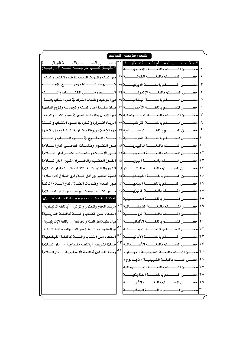| * اولا: حصـــــــن المســــــلم باللغــــــات الانيـــــــة: ٣١]حصــــــــــــن المســــــــــلم باللغـــــــــــة النيباليــــــــــة<br>* ثانيـــــا: كَتــــب مترجمـــــة للغــــة الاورديــــة:<br>١<br>نور السنة وظلمات البدعة فخ ضوء الكتاب والسنة<br>۲<br>شـــــــــروط الــــــــــدعاء وموانـــــــــع الإجابــــــــة<br>٣<br>المستسدعاء مستسن الكتسستاب والسمستنة<br>٤<br>نور التوحيد وظلمات الشرك فخضوء الكتاب والسنة<br>٥<br>بيان عقيدة أهل السنة والجماعة ولزوم اتباعها<br>حصــــــــن المســـــــــلم باللغـــــــــة الأمهريـــــــــة ٣١<br>٦<br>نور الإيمان وظلمات النفاق فخ ضوء الكتاب والسنة<br>حصـــــــــن المســـــــــلم بـاللغــــــــــة الســــــــــواحلية ٣٧<br>$\checkmark$<br> الربــا: أضــراره وآشــاره في ضــوء الكتــاب والســنة<br>٨<br>نور الإخلاص وظلمات إرادة الدنيا بعمل الآخرة<br>٩<br>حصـــــــن المســــــــلم باللغــــــــة الفارســــــــية   ٤٠<br>صللاة التطوع في ضوء الكتساب والسنسنة<br>١.<br>نسور التقسوي وظلمسات المعاصسي (دار السسلام)<br>۱۱<br>نسور الإسلام وظلمات الكفر (دار السلام)<br>حصـــــــن المســــــــلم باللغــــــــة التاميليـــــــة [٤٢]<br>$\gamma$<br>الفوز العظيم والخسران المبين (دار السلام)<br>۱٢<br>النـور والظلمـات في الكتـاب والسـنة (دار السـلام)<br>$\frac{1}{2}$<br>قضية التكفير بين أهل السنة وفرق الضلال (دار السلام)<br>$\sqrt{2}$<br>نــور الهـدى وظلمــات الضــلال (دار الســلام) ثـالثــاً<br>نسور الشسيب وحكسم تغسييره (دار السلسلام)<br>* ثالثــــا: كتــــب مترجمــــة للغــــات أخــــرى:<br>١٨ حصـــــــن المســــــــلم بـاللغــــــــــة الصـــــــــينية <br>ا المحصيلين المستسملم باللغيسية الشيشيسسانية $\left  \wedge^2 \right $<br>مرشد الحاج والمتمر والزائر (باللغة الماليبارية)<br>الدعاء مـن الكتـاب والسـنة (باللغـة الفارسـية)<br>۲. |
|------------------------------------------------------------------------------------------------------------------------------------------------------------------------------------------------------------------------------------------------------------------------------------------------------------------------------------------------------------------------------------------------------------------------------------------------------------------------------------------------------------------------------------------------------------------------------------------------------------------------------------------------------------------------------------------------------------------------------------------------------------------------------------------------------------------------------------------------------------------------------------------------------------------------------------------------------------------------------------------------------------------------------------------------------------------------------------------------------------------------------------------------------------------------------------------------------------------------------------------------------------------------------------------------------------------------------------------------------------------------------------------------------------------------------------------------------------------------------------------------------------------------------------------------------------------------------------------------------------------------------------------------------------------------------------------------------------------------------------------------|
|                                                                                                                                                                                                                                                                                                                                                                                                                                                                                                                                                                                                                                                                                                                                                                                                                                                                                                                                                                                                                                                                                                                                                                                                                                                                                                                                                                                                                                                                                                                                                                                                                                                                                                                                                |
|                                                                                                                                                                                                                                                                                                                                                                                                                                                                                                                                                                                                                                                                                                                                                                                                                                                                                                                                                                                                                                                                                                                                                                                                                                                                                                                                                                                                                                                                                                                                                                                                                                                                                                                                                |
|                                                                                                                                                                                                                                                                                                                                                                                                                                                                                                                                                                                                                                                                                                                                                                                                                                                                                                                                                                                                                                                                                                                                                                                                                                                                                                                                                                                                                                                                                                                                                                                                                                                                                                                                                |
|                                                                                                                                                                                                                                                                                                                                                                                                                                                                                                                                                                                                                                                                                                                                                                                                                                                                                                                                                                                                                                                                                                                                                                                                                                                                                                                                                                                                                                                                                                                                                                                                                                                                                                                                                |
|                                                                                                                                                                                                                                                                                                                                                                                                                                                                                                                                                                                                                                                                                                                                                                                                                                                                                                                                                                                                                                                                                                                                                                                                                                                                                                                                                                                                                                                                                                                                                                                                                                                                                                                                                |
|                                                                                                                                                                                                                                                                                                                                                                                                                                                                                                                                                                                                                                                                                                                                                                                                                                                                                                                                                                                                                                                                                                                                                                                                                                                                                                                                                                                                                                                                                                                                                                                                                                                                                                                                                |
|                                                                                                                                                                                                                                                                                                                                                                                                                                                                                                                                                                                                                                                                                                                                                                                                                                                                                                                                                                                                                                                                                                                                                                                                                                                                                                                                                                                                                                                                                                                                                                                                                                                                                                                                                |
|                                                                                                                                                                                                                                                                                                                                                                                                                                                                                                                                                                                                                                                                                                                                                                                                                                                                                                                                                                                                                                                                                                                                                                                                                                                                                                                                                                                                                                                                                                                                                                                                                                                                                                                                                |
|                                                                                                                                                                                                                                                                                                                                                                                                                                                                                                                                                                                                                                                                                                                                                                                                                                                                                                                                                                                                                                                                                                                                                                                                                                                                                                                                                                                                                                                                                                                                                                                                                                                                                                                                                |
|                                                                                                                                                                                                                                                                                                                                                                                                                                                                                                                                                                                                                                                                                                                                                                                                                                                                                                                                                                                                                                                                                                                                                                                                                                                                                                                                                                                                                                                                                                                                                                                                                                                                                                                                                |
|                                                                                                                                                                                                                                                                                                                                                                                                                                                                                                                                                                                                                                                                                                                                                                                                                                                                                                                                                                                                                                                                                                                                                                                                                                                                                                                                                                                                                                                                                                                                                                                                                                                                                                                                                |
|                                                                                                                                                                                                                                                                                                                                                                                                                                                                                                                                                                                                                                                                                                                                                                                                                                                                                                                                                                                                                                                                                                                                                                                                                                                                                                                                                                                                                                                                                                                                                                                                                                                                                                                                                |
|                                                                                                                                                                                                                                                                                                                                                                                                                                                                                                                                                                                                                                                                                                                                                                                                                                                                                                                                                                                                                                                                                                                                                                                                                                                                                                                                                                                                                                                                                                                                                                                                                                                                                                                                                |
|                                                                                                                                                                                                                                                                                                                                                                                                                                                                                                                                                                                                                                                                                                                                                                                                                                                                                                                                                                                                                                                                                                                                                                                                                                                                                                                                                                                                                                                                                                                                                                                                                                                                                                                                                |
|                                                                                                                                                                                                                                                                                                                                                                                                                                                                                                                                                                                                                                                                                                                                                                                                                                                                                                                                                                                                                                                                                                                                                                                                                                                                                                                                                                                                                                                                                                                                                                                                                                                                                                                                                |
|                                                                                                                                                                                                                                                                                                                                                                                                                                                                                                                                                                                                                                                                                                                                                                                                                                                                                                                                                                                                                                                                                                                                                                                                                                                                                                                                                                                                                                                                                                                                                                                                                                                                                                                                                |
|                                                                                                                                                                                                                                                                                                                                                                                                                                                                                                                                                                                                                                                                                                                                                                                                                                                                                                                                                                                                                                                                                                                                                                                                                                                                                                                                                                                                                                                                                                                                                                                                                                                                                                                                                |
|                                                                                                                                                                                                                                                                                                                                                                                                                                                                                                                                                                                                                                                                                                                                                                                                                                                                                                                                                                                                                                                                                                                                                                                                                                                                                                                                                                                                                                                                                                                                                                                                                                                                                                                                                |
|                                                                                                                                                                                                                                                                                                                                                                                                                                                                                                                                                                                                                                                                                                                                                                                                                                                                                                                                                                                                                                                                                                                                                                                                                                                                                                                                                                                                                                                                                                                                                                                                                                                                                                                                                |
|                                                                                                                                                                                                                                                                                                                                                                                                                                                                                                                                                                                                                                                                                                                                                                                                                                                                                                                                                                                                                                                                                                                                                                                                                                                                                                                                                                                                                                                                                                                                                                                                                                                                                                                                                |
|                                                                                                                                                                                                                                                                                                                                                                                                                                                                                                                                                                                                                                                                                                                                                                                                                                                                                                                                                                                                                                                                                                                                                                                                                                                                                                                                                                                                                                                                                                                                                                                                                                                                                                                                                |
| بيان عقيدة أهل السنة والجماعة  (باللغة الإندونيسية )                                                                                                                                                                                                                                                                                                                                                                                                                                                                                                                                                                                                                                                                                                                                                                                                                                                                                                                                                                                                                                                                                                                                                                                                                                                                                                                                                                                                                                                                                                                                                                                                                                                                                           |
| نور السنة وظلمات البدعة في ضوء الكتاب والسنة باللغة الماليبارية<br>٢٢ حصــــــــــن المســـــــــــلم بـاللغـــــــــــة البوســــــــــنية  <sup>٥١</sup>                                                                                                                                                                                                                                                                                                                                                                                                                                                                                                                                                                                                                                                                                                                                                                                                                                                                                                                                                                                                                                                                                                                                                                                                                                                                                                                                                                                                                                                                                                                                                                                     |
| الدعاء من الكتاب والسنة (باللغـة اللوغنديـة)<br>ا ت<br>حصير السيطيع باللغيسية الألمانيسية<br>۲۳                                                                                                                                                                                                                                                                                                                                                                                                                                                                                                                                                                                                                                                                                                                                                                                                                                                                                                                                                                                                                                                                                                                                                                                                                                                                                                                                                                                                                                                                                                                                                                                                                                                |
| صلاة المريض (باللغة مليباريية - دار السلام)<br>۲٤                                                                                                                                                                                                                                                                                                                                                                                                                                                                                                                                                                                                                                                                                                                                                                                                                                                                                                                                                                                                                                                                                                                                                                                                                                                                                                                                                                                                                                                                                                                                                                                                                                                                                              |
| ع ہ<br>رحمة للعالمين (باللغة الإنجليزية — دار السلام)<br>حصـــن المســلم باللغـــة الفلبينيـــة « مرنـــاو »<br>م ۲                                                                                                                                                                                                                                                                                                                                                                                                                                                                                                                                                                                                                                                                                                                                                                                                                                                                                                                                                                                                                                                                                                                                                                                                                                                                                                                                                                                                                                                                                                                                                                                                                            |
| ۲٦<br>حصــن المســلم باللغــة الفلبينيــة « تجــالوج »                                                                                                                                                                                                                                                                                                                                                                                                                                                                                                                                                                                                                                                                                                                                                                                                                                                                                                                                                                                                                                                                                                                                                                                                                                                                                                                                                                                                                                                                                                                                                                                                                                                                                         |
| $\mathsf{Y}\mathsf{V}$<br>حصير المسلم باللغية الصيومالية                                                                                                                                                                                                                                                                                                                                                                                                                                                                                                                                                                                                                                                                                                                                                                                                                                                                                                                                                                                                                                                                                                                                                                                                                                                                                                                                                                                                                                                                                                                                                                                                                                                                                       |
| حصين المسلم باللغية الطاجكينة<br>۲۸                                                                                                                                                                                                                                                                                                                                                                                                                                                                                                                                                                                                                                                                                                                                                                                                                                                                                                                                                                                                                                                                                                                                                                                                                                                                                                                                                                                                                                                                                                                                                                                                                                                                                                            |
| حصيصن المستسلم باللغيسة الأذرينية<br>۲۹                                                                                                                                                                                                                                                                                                                                                                                                                                                                                                                                                                                                                                                                                                                                                                                                                                                                                                                                                                                                                                                                                                                                                                                                                                                                                                                                                                                                                                                                                                                                                                                                                                                                                                        |
| حصيرالمسلم باللغيسة اليابانيسة<br>$\mathfrak{r}$ .                                                                                                                                                                                                                                                                                                                                                                                                                                                                                                                                                                                                                                                                                                                                                                                                                                                                                                                                                                                                                                                                                                                                                                                                                                                                                                                                                                                                                                                                                                                                                                                                                                                                                             |